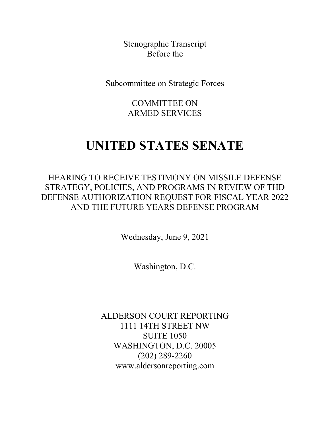Stenographic Transcript Before the

Subcommittee on Strategic Forces

COMMITTEE ON ARMED SERVICES

## **UNITED STATES SENATE**

HEARING TO RECEIVE TESTIMONY ON MISSILE DEFENSE STRATEGY, POLICIES, AND PROGRAMS IN REVIEW OF THD DEFENSE AUTHORIZATION REQUEST FOR FISCAL YEAR 2022 AND THE FUTURE YEARS DEFENSE PROGRAM

Wednesday, June 9, 2021

Washington, D.C.

ALDERSON COURT REPORTING 1111 14TH STREET NW SUITE 1050 WASHINGTON, D.C. 20005 (202) 289-2260 www.aldersonreporting.com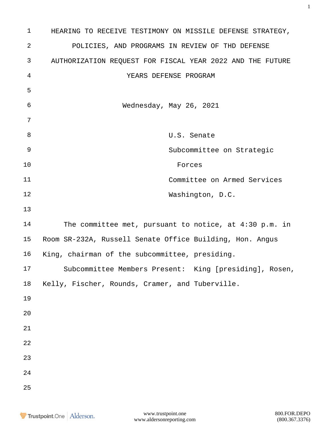| $\mathbf{1}$     | HEARING TO RECEIVE TESTIMONY ON MISSILE DEFENSE STRATEGY, |
|------------------|-----------------------------------------------------------|
| $\boldsymbol{2}$ | POLICIES, AND PROGRAMS IN REVIEW OF THD DEFENSE           |
| $\mathsf{3}$     | AUTHORIZATION REQUEST FOR FISCAL YEAR 2022 AND THE FUTURE |
| 4                | YEARS DEFENSE PROGRAM                                     |
| 5                |                                                           |
| 6                | Wednesday, May 26, 2021                                   |
| 7                |                                                           |
| $\,8\,$          | U.S. Senate                                               |
| 9                | Subcommittee on Strategic                                 |
| 10               | Forces                                                    |
| 11               | Committee on Armed Services                               |
| 12               | Washington, D.C.                                          |
| 13               |                                                           |
| 14               | The committee met, pursuant to notice, at $4:30$ p.m. in  |
| 15               | Room SR-232A, Russell Senate Office Building, Hon. Angus  |
| 16               | King, chairman of the subcommittee, presiding.            |
| 17               | Subcommittee Members Present: King [presiding], Rosen,    |
| 18               | Kelly, Fischer, Rounds, Cramer, and Tuberville.           |
| 19               |                                                           |
| 20               |                                                           |
| 21               |                                                           |
| 22               |                                                           |
| 23               |                                                           |
| 24               |                                                           |
| 25               |                                                           |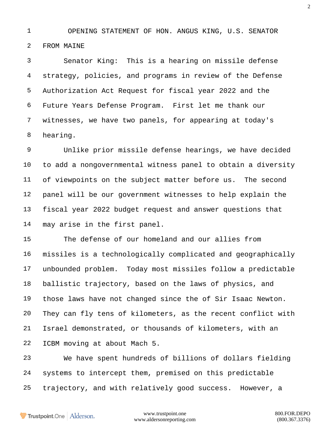OPENING STATEMENT OF HON. ANGUS KING, U.S. SENATOR FROM MAINE

 Senator King: This is a hearing on missile defense strategy, policies, and programs in review of the Defense Authorization Act Request for fiscal year 2022 and the Future Years Defense Program. First let me thank our witnesses, we have two panels, for appearing at today's hearing.

 Unlike prior missile defense hearings, we have decided to add a nongovernmental witness panel to obtain a diversity of viewpoints on the subject matter before us. The second panel will be our government witnesses to help explain the fiscal year 2022 budget request and answer questions that may arise in the first panel.

 The defense of our homeland and our allies from missiles is a technologically complicated and geographically unbounded problem. Today most missiles follow a predictable ballistic trajectory, based on the laws of physics, and those laws have not changed since the of Sir Isaac Newton. They can fly tens of kilometers, as the recent conflict with Israel demonstrated, or thousands of kilometers, with an ICBM moving at about Mach 5.

 We have spent hundreds of billions of dollars fielding systems to intercept them, premised on this predictable trajectory, and with relatively good success. However, a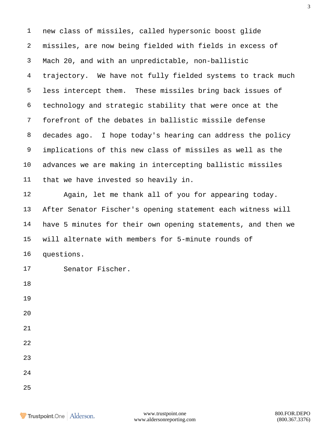new class of missiles, called hypersonic boost glide missiles, are now being fielded with fields in excess of Mach 20, and with an unpredictable, non-ballistic trajectory. We have not fully fielded systems to track much less intercept them. These missiles bring back issues of technology and strategic stability that were once at the forefront of the debates in ballistic missile defense decades ago. I hope today's hearing can address the policy implications of this new class of missiles as well as the advances we are making in intercepting ballistic missiles that we have invested so heavily in. Again, let me thank all of you for appearing today.

 After Senator Fischer's opening statement each witness will have 5 minutes for their own opening statements, and then we will alternate with members for 5-minute rounds of questions.

Senator Fischer.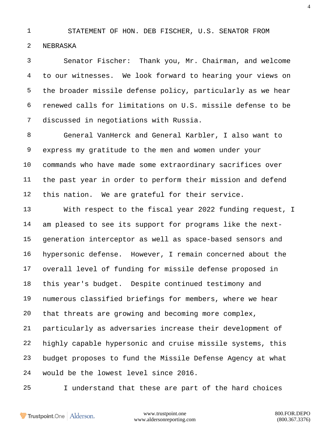## STATEMENT OF HON. DEB FISCHER, U.S. SENATOR FROM

NEBRASKA

 Senator Fischer: Thank you, Mr. Chairman, and welcome to our witnesses. We look forward to hearing your views on the broader missile defense policy, particularly as we hear renewed calls for limitations on U.S. missile defense to be discussed in negotiations with Russia.

 General VanHerck and General Karbler, I also want to express my gratitude to the men and women under your commands who have made some extraordinary sacrifices over the past year in order to perform their mission and defend this nation. We are grateful for their service.

 With respect to the fiscal year 2022 funding request, I am pleased to see its support for programs like the next- generation interceptor as well as space-based sensors and hypersonic defense. However, I remain concerned about the overall level of funding for missile defense proposed in this year's budget. Despite continued testimony and numerous classified briefings for members, where we hear that threats are growing and becoming more complex, particularly as adversaries increase their development of highly capable hypersonic and cruise missile systems, this budget proposes to fund the Missile Defense Agency at what would be the lowest level since 2016.

I understand that these are part of the hard choices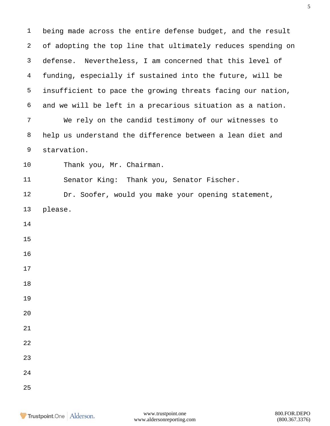being made across the entire defense budget, and the result of adopting the top line that ultimately reduces spending on defense. Nevertheless, I am concerned that this level of funding, especially if sustained into the future, will be insufficient to pace the growing threats facing our nation, and we will be left in a precarious situation as a nation. We rely on the candid testimony of our witnesses to help us understand the difference between a lean diet and starvation. Thank you, Mr. Chairman. Senator King: Thank you, Senator Fischer. Dr. Soofer, would you make your opening statement, please.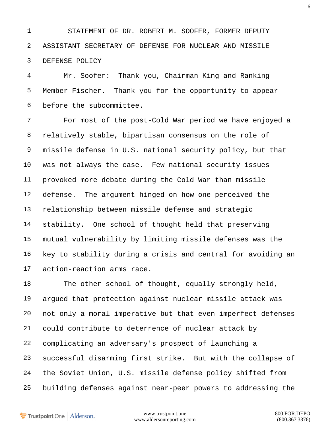STATEMENT OF DR. ROBERT M. SOOFER, FORMER DEPUTY ASSISTANT SECRETARY OF DEFENSE FOR NUCLEAR AND MISSILE DEFENSE POLICY

 Mr. Soofer: Thank you, Chairman King and Ranking Member Fischer. Thank you for the opportunity to appear before the subcommittee.

 For most of the post-Cold War period we have enjoyed a relatively stable, bipartisan consensus on the role of missile defense in U.S. national security policy, but that was not always the case. Few national security issues provoked more debate during the Cold War than missile defense. The argument hinged on how one perceived the relationship between missile defense and strategic stability. One school of thought held that preserving mutual vulnerability by limiting missile defenses was the key to stability during a crisis and central for avoiding an action-reaction arms race.

 The other school of thought, equally strongly held, argued that protection against nuclear missile attack was not only a moral imperative but that even imperfect defenses could contribute to deterrence of nuclear attack by complicating an adversary's prospect of launching a successful disarming first strike. But with the collapse of the Soviet Union, U.S. missile defense policy shifted from building defenses against near-peer powers to addressing the

Trustpoint.One Alderson.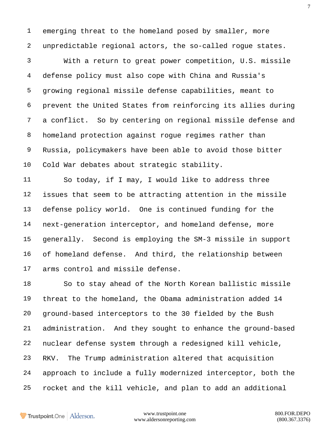emerging threat to the homeland posed by smaller, more unpredictable regional actors, the so-called rogue states.

 With a return to great power competition, U.S. missile defense policy must also cope with China and Russia's growing regional missile defense capabilities, meant to prevent the United States from reinforcing its allies during a conflict. So by centering on regional missile defense and homeland protection against rogue regimes rather than Russia, policymakers have been able to avoid those bitter Cold War debates about strategic stability.

 So today, if I may, I would like to address three issues that seem to be attracting attention in the missile defense policy world. One is continued funding for the next-generation interceptor, and homeland defense, more generally. Second is employing the SM-3 missile in support of homeland defense. And third, the relationship between arms control and missile defense.

 So to stay ahead of the North Korean ballistic missile threat to the homeland, the Obama administration added 14 ground-based interceptors to the 30 fielded by the Bush administration. And they sought to enhance the ground-based nuclear defense system through a redesigned kill vehicle, RKV. The Trump administration altered that acquisition approach to include a fully modernized interceptor, both the rocket and the kill vehicle, and plan to add an additional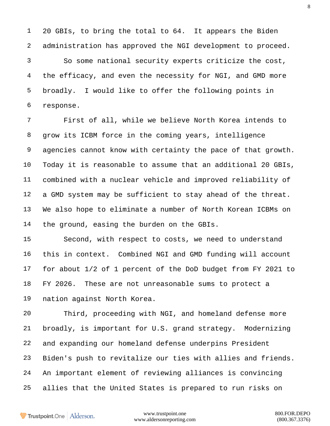20 GBIs, to bring the total to 64. It appears the Biden administration has approved the NGI development to proceed.

 So some national security experts criticize the cost, the efficacy, and even the necessity for NGI, and GMD more broadly. I would like to offer the following points in response.

 First of all, while we believe North Korea intends to grow its ICBM force in the coming years, intelligence agencies cannot know with certainty the pace of that growth. Today it is reasonable to assume that an additional 20 GBIs, combined with a nuclear vehicle and improved reliability of a GMD system may be sufficient to stay ahead of the threat. We also hope to eliminate a number of North Korean ICBMs on the ground, easing the burden on the GBIs.

 Second, with respect to costs, we need to understand this in context. Combined NGI and GMD funding will account for about 1/2 of 1 percent of the DoD budget from FY 2021 to FY 2026. These are not unreasonable sums to protect a nation against North Korea.

 Third, proceeding with NGI, and homeland defense more broadly, is important for U.S. grand strategy. Modernizing and expanding our homeland defense underpins President Biden's push to revitalize our ties with allies and friends. An important element of reviewing alliances is convincing allies that the United States is prepared to run risks on

Trustpoint.One Alderson.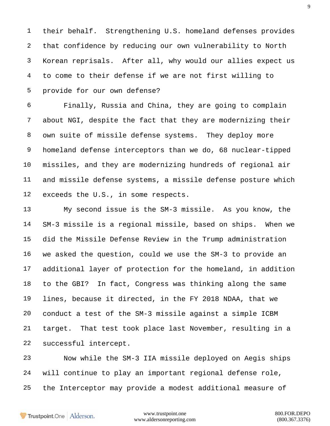their behalf. Strengthening U.S. homeland defenses provides that confidence by reducing our own vulnerability to North Korean reprisals. After all, why would our allies expect us to come to their defense if we are not first willing to provide for our own defense?

 Finally, Russia and China, they are going to complain about NGI, despite the fact that they are modernizing their own suite of missile defense systems. They deploy more homeland defense interceptors than we do, 68 nuclear-tipped missiles, and they are modernizing hundreds of regional air and missile defense systems, a missile defense posture which exceeds the U.S., in some respects.

 My second issue is the SM-3 missile. As you know, the SM-3 missile is a regional missile, based on ships. When we did the Missile Defense Review in the Trump administration we asked the question, could we use the SM-3 to provide an additional layer of protection for the homeland, in addition to the GBI? In fact, Congress was thinking along the same lines, because it directed, in the FY 2018 NDAA, that we conduct a test of the SM-3 missile against a simple ICBM target. That test took place last November, resulting in a successful intercept.

 Now while the SM-3 IIA missile deployed on Aegis ships will continue to play an important regional defense role, the Interceptor may provide a modest additional measure of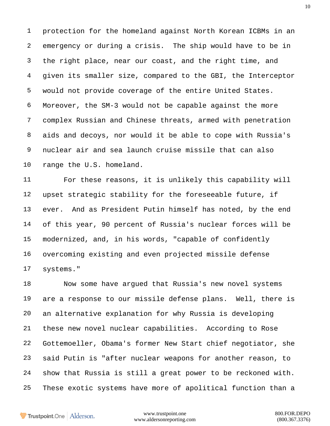protection for the homeland against North Korean ICBMs in an emergency or during a crisis. The ship would have to be in the right place, near our coast, and the right time, and given its smaller size, compared to the GBI, the Interceptor would not provide coverage of the entire United States. Moreover, the SM-3 would not be capable against the more complex Russian and Chinese threats, armed with penetration aids and decoys, nor would it be able to cope with Russia's nuclear air and sea launch cruise missile that can also range the U.S. homeland.

 For these reasons, it is unlikely this capability will upset strategic stability for the foreseeable future, if ever. And as President Putin himself has noted, by the end of this year, 90 percent of Russia's nuclear forces will be modernized, and, in his words, "capable of confidently overcoming existing and even projected missile defense systems."

 Now some have argued that Russia's new novel systems are a response to our missile defense plans. Well, there is an alternative explanation for why Russia is developing these new novel nuclear capabilities. According to Rose Gottemoeller, Obama's former New Start chief negotiator, she said Putin is "after nuclear weapons for another reason, to show that Russia is still a great power to be reckoned with. These exotic systems have more of apolitical function than a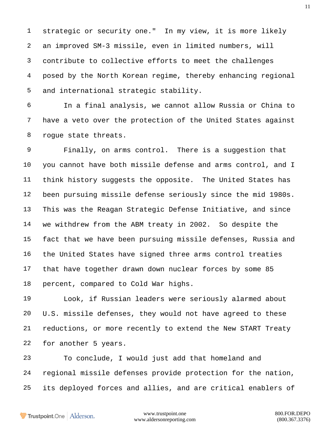strategic or security one." In my view, it is more likely an improved SM-3 missile, even in limited numbers, will contribute to collective efforts to meet the challenges posed by the North Korean regime, thereby enhancing regional and international strategic stability.

 In a final analysis, we cannot allow Russia or China to have a veto over the protection of the United States against rogue state threats.

 Finally, on arms control. There is a suggestion that you cannot have both missile defense and arms control, and I think history suggests the opposite. The United States has been pursuing missile defense seriously since the mid 1980s. This was the Reagan Strategic Defense Initiative, and since we withdrew from the ABM treaty in 2002. So despite the fact that we have been pursuing missile defenses, Russia and the United States have signed three arms control treaties that have together drawn down nuclear forces by some 85 percent, compared to Cold War highs.

 Look, if Russian leaders were seriously alarmed about U.S. missile defenses, they would not have agreed to these reductions, or more recently to extend the New START Treaty for another 5 years.

 To conclude, I would just add that homeland and regional missile defenses provide protection for the nation, its deployed forces and allies, and are critical enablers of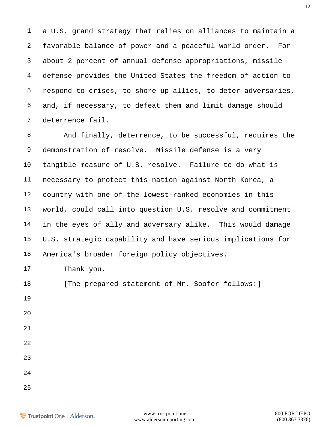a U.S. grand strategy that relies on alliances to maintain a favorable balance of power and a peaceful world order. For about 2 percent of annual defense appropriations, missile defense provides the United States the freedom of action to respond to crises, to shore up allies, to deter adversaries, and, if necessary, to defeat them and limit damage should deterrence fail.

 And finally, deterrence, to be successful, requires the demonstration of resolve. Missile defense is a very tangible measure of U.S. resolve. Failure to do what is necessary to protect this nation against North Korea, a country with one of the lowest-ranked economies in this world, could call into question U.S. resolve and commitment in the eyes of ally and adversary alike. This would damage U.S. strategic capability and have serious implications for America's broader foreign policy objectives.

Thank you.

18 [The prepared statement of Mr. Soofer follows: ]

- 
- 
- 
- 
- 
- 
-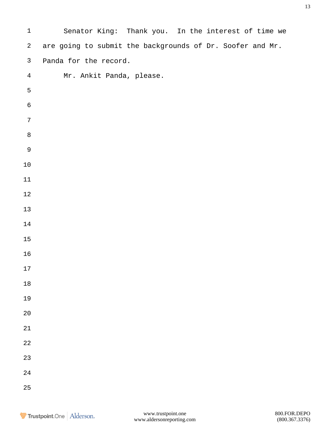| $\mathbf 1$    | Senator King: Thank you. In the interest of time we       |
|----------------|-----------------------------------------------------------|
| $\overline{a}$ | are going to submit the backgrounds of Dr. Soofer and Mr. |
| $\mathsf{3}$   | Panda for the record.                                     |
| $\overline{4}$ | Mr. Ankit Panda, please.                                  |
| $\mathsf S$    |                                                           |
| $\epsilon$     |                                                           |
| $\sqrt{ }$     |                                                           |
| $\, 8$         |                                                           |
| $\mathsf 9$    |                                                           |
| $1\,0$         |                                                           |
| 11             |                                                           |
| $12\,$         |                                                           |
| $13\,$         |                                                           |
| 14             |                                                           |
| $15$           |                                                           |
| 16             |                                                           |
| 17             |                                                           |
| $18\,$         |                                                           |
| 19             |                                                           |
| $20$           |                                                           |
| 21             |                                                           |
| 22             |                                                           |
| 23             |                                                           |
| 24             |                                                           |
| 25             |                                                           |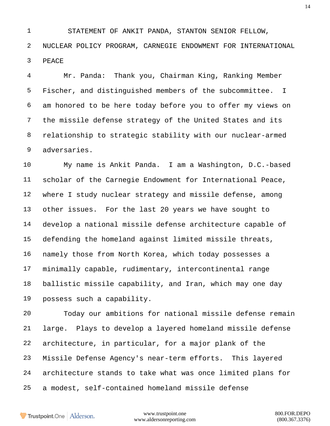STATEMENT OF ANKIT PANDA, STANTON SENIOR FELLOW, NUCLEAR POLICY PROGRAM, CARNEGIE ENDOWMENT FOR INTERNATIONAL PEACE

 Mr. Panda: Thank you, Chairman King, Ranking Member Fischer, and distinguished members of the subcommittee. I am honored to be here today before you to offer my views on the missile defense strategy of the United States and its relationship to strategic stability with our nuclear-armed adversaries.

 My name is Ankit Panda. I am a Washington, D.C.-based scholar of the Carnegie Endowment for International Peace, where I study nuclear strategy and missile defense, among other issues. For the last 20 years we have sought to develop a national missile defense architecture capable of defending the homeland against limited missile threats, namely those from North Korea, which today possesses a minimally capable, rudimentary, intercontinental range ballistic missile capability, and Iran, which may one day possess such a capability.

 Today our ambitions for national missile defense remain large. Plays to develop a layered homeland missile defense architecture, in particular, for a major plank of the Missile Defense Agency's near-term efforts. This layered architecture stands to take what was once limited plans for a modest, self-contained homeland missile defense

Trustpoint.One Alderson.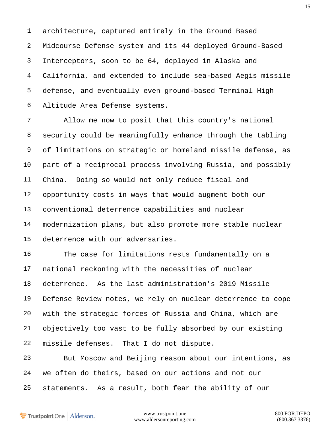architecture, captured entirely in the Ground Based Midcourse Defense system and its 44 deployed Ground-Based Interceptors, soon to be 64, deployed in Alaska and California, and extended to include sea-based Aegis missile defense, and eventually even ground-based Terminal High Altitude Area Defense systems.

 Allow me now to posit that this country's national security could be meaningfully enhance through the tabling of limitations on strategic or homeland missile defense, as part of a reciprocal process involving Russia, and possibly China. Doing so would not only reduce fiscal and opportunity costs in ways that would augment both our conventional deterrence capabilities and nuclear modernization plans, but also promote more stable nuclear deterrence with our adversaries.

 The case for limitations rests fundamentally on a national reckoning with the necessities of nuclear deterrence. As the last administration's 2019 Missile Defense Review notes, we rely on nuclear deterrence to cope with the strategic forces of Russia and China, which are objectively too vast to be fully absorbed by our existing missile defenses. That I do not dispute.

 But Moscow and Beijing reason about our intentions, as we often do theirs, based on our actions and not our statements. As a result, both fear the ability of our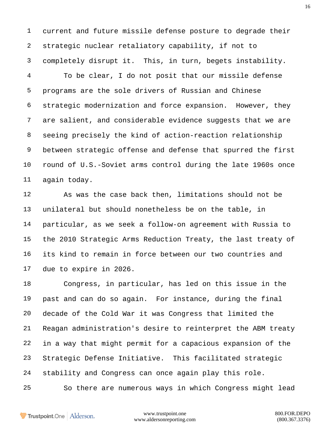current and future missile defense posture to degrade their strategic nuclear retaliatory capability, if not to completely disrupt it. This, in turn, begets instability.

 To be clear, I do not posit that our missile defense programs are the sole drivers of Russian and Chinese strategic modernization and force expansion. However, they are salient, and considerable evidence suggests that we are seeing precisely the kind of action-reaction relationship between strategic offense and defense that spurred the first round of U.S.-Soviet arms control during the late 1960s once again today.

 As was the case back then, limitations should not be unilateral but should nonetheless be on the table, in particular, as we seek a follow-on agreement with Russia to the 2010 Strategic Arms Reduction Treaty, the last treaty of its kind to remain in force between our two countries and due to expire in 2026.

 Congress, in particular, has led on this issue in the past and can do so again. For instance, during the final decade of the Cold War it was Congress that limited the Reagan administration's desire to reinterpret the ABM treaty in a way that might permit for a capacious expansion of the Strategic Defense Initiative. This facilitated strategic stability and Congress can once again play this role. So there are numerous ways in which Congress might lead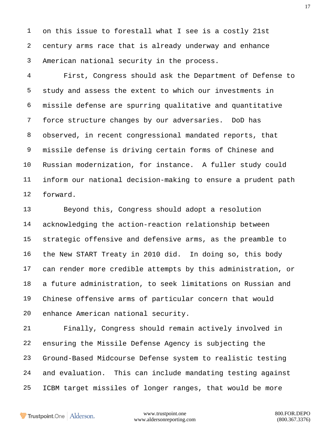on this issue to forestall what I see is a costly 21st century arms race that is already underway and enhance American national security in the process.

 First, Congress should ask the Department of Defense to study and assess the extent to which our investments in missile defense are spurring qualitative and quantitative force structure changes by our adversaries. DoD has observed, in recent congressional mandated reports, that missile defense is driving certain forms of Chinese and Russian modernization, for instance. A fuller study could inform our national decision-making to ensure a prudent path forward.

 Beyond this, Congress should adopt a resolution acknowledging the action-reaction relationship between strategic offensive and defensive arms, as the preamble to the New START Treaty in 2010 did. In doing so, this body can render more credible attempts by this administration, or a future administration, to seek limitations on Russian and Chinese offensive arms of particular concern that would enhance American national security.

 Finally, Congress should remain actively involved in ensuring the Missile Defense Agency is subjecting the Ground-Based Midcourse Defense system to realistic testing and evaluation. This can include mandating testing against ICBM target missiles of longer ranges, that would be more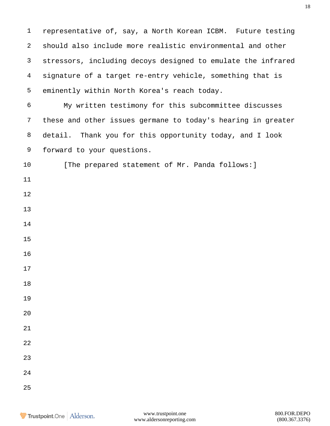representative of, say, a North Korean ICBM. Future testing should also include more realistic environmental and other stressors, including decoys designed to emulate the infrared signature of a target re-entry vehicle, something that is eminently within North Korea's reach today. My written testimony for this subcommittee discusses these and other issues germane to today's hearing in greater detail. Thank you for this opportunity today, and I look forward to your questions. 10 [The prepared statement of Mr. Panda follows: ]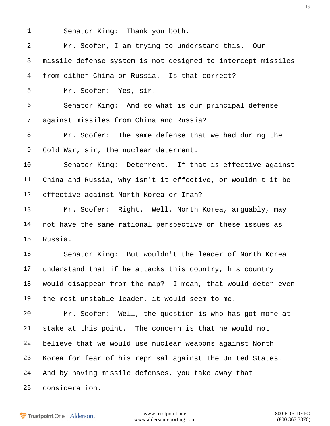Senator King: Thank you both.

 Mr. Soofer, I am trying to understand this. Our missile defense system is not designed to intercept missiles from either China or Russia. Is that correct? Mr. Soofer: Yes, sir. Senator King: And so what is our principal defense against missiles from China and Russia? Mr. Soofer: The same defense that we had during the Cold War, sir, the nuclear deterrent. Senator King: Deterrent. If that is effective against China and Russia, why isn't it effective, or wouldn't it be effective against North Korea or Iran? Mr. Soofer: Right. Well, North Korea, arguably, may not have the same rational perspective on these issues as Russia. Senator King: But wouldn't the leader of North Korea understand that if he attacks this country, his country would disappear from the map? I mean, that would deter even the most unstable leader, it would seem to me. Mr. Soofer: Well, the question is who has got more at stake at this point. The concern is that he would not believe that we would use nuclear weapons against North Korea for fear of his reprisal against the United States. And by having missile defenses, you take away that consideration.

**Trustpoint**.One Alderson.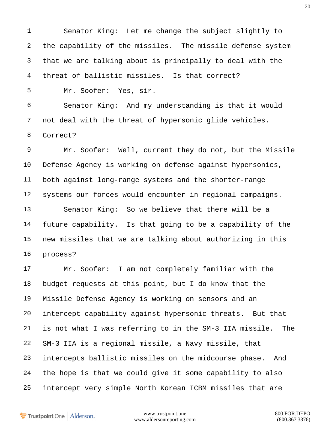Senator King: Let me change the subject slightly to the capability of the missiles. The missile defense system that we are talking about is principally to deal with the threat of ballistic missiles. Is that correct?

Mr. Soofer: Yes, sir.

 Senator King: And my understanding is that it would not deal with the threat of hypersonic glide vehicles. Correct?

 Mr. Soofer: Well, current they do not, but the Missile Defense Agency is working on defense against hypersonics, both against long-range systems and the shorter-range systems our forces would encounter in regional campaigns. Senator King: So we believe that there will be a

 future capability. Is that going to be a capability of the new missiles that we are talking about authorizing in this process?

 Mr. Soofer: I am not completely familiar with the budget requests at this point, but I do know that the Missile Defense Agency is working on sensors and an intercept capability against hypersonic threats. But that is not what I was referring to in the SM-3 IIA missile. The SM-3 IIA is a regional missile, a Navy missile, that intercepts ballistic missiles on the midcourse phase. And the hope is that we could give it some capability to also intercept very simple North Korean ICBM missiles that are

Trustpoint.One Alderson.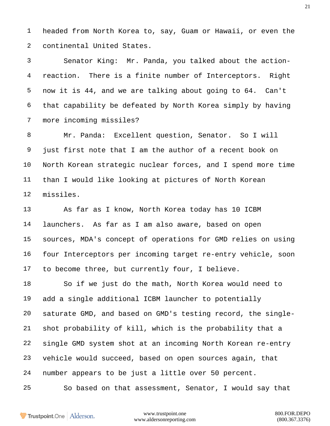headed from North Korea to, say, Guam or Hawaii, or even the continental United States.

 Senator King: Mr. Panda, you talked about the action- reaction. There is a finite number of Interceptors. Right now it is 44, and we are talking about going to 64. Can't that capability be defeated by North Korea simply by having more incoming missiles?

 Mr. Panda: Excellent question, Senator. So I will just first note that I am the author of a recent book on North Korean strategic nuclear forces, and I spend more time than I would like looking at pictures of North Korean missiles.

 As far as I know, North Korea today has 10 ICBM launchers. As far as I am also aware, based on open sources, MDA's concept of operations for GMD relies on using four Interceptors per incoming target re-entry vehicle, soon to become three, but currently four, I believe.

 So if we just do the math, North Korea would need to add a single additional ICBM launcher to potentially saturate GMD, and based on GMD's testing record, the single- shot probability of kill, which is the probability that a single GMD system shot at an incoming North Korean re-entry vehicle would succeed, based on open sources again, that number appears to be just a little over 50 percent.

So based on that assessment, Senator, I would say that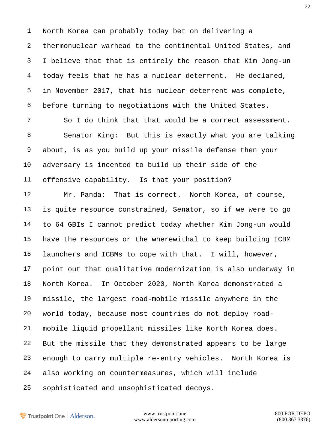North Korea can probably today bet on delivering a thermonuclear warhead to the continental United States, and I believe that that is entirely the reason that Kim Jong-un today feels that he has a nuclear deterrent. He declared, in November 2017, that his nuclear deterrent was complete, before turning to negotiations with the United States.

7 So I do think that that would be a correct assessment. Senator King: But this is exactly what you are talking about, is as you build up your missile defense then your adversary is incented to build up their side of the offensive capability. Is that your position?

 Mr. Panda: That is correct. North Korea, of course, is quite resource constrained, Senator, so if we were to go to 64 GBIs I cannot predict today whether Kim Jong-un would have the resources or the wherewithal to keep building ICBM launchers and ICBMs to cope with that. I will, however, point out that qualitative modernization is also underway in North Korea. In October 2020, North Korea demonstrated a missile, the largest road-mobile missile anywhere in the world today, because most countries do not deploy road- mobile liquid propellant missiles like North Korea does. But the missile that they demonstrated appears to be large enough to carry multiple re-entry vehicles. North Korea is also working on countermeasures, which will include sophisticated and unsophisticated decoys.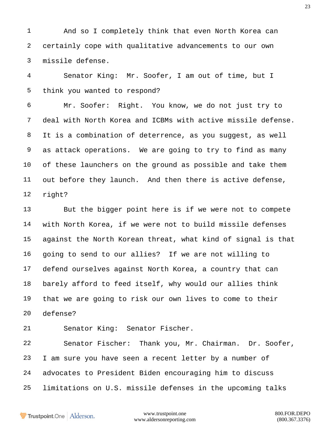And so I completely think that even North Korea can certainly cope with qualitative advancements to our own missile defense.

 Senator King: Mr. Soofer, I am out of time, but I think you wanted to respond?

 Mr. Soofer: Right. You know, we do not just try to deal with North Korea and ICBMs with active missile defense. It is a combination of deterrence, as you suggest, as well as attack operations. We are going to try to find as many of these launchers on the ground as possible and take them out before they launch. And then there is active defense, right?

 But the bigger point here is if we were not to compete with North Korea, if we were not to build missile defenses against the North Korean threat, what kind of signal is that going to send to our allies? If we are not willing to defend ourselves against North Korea, a country that can barely afford to feed itself, why would our allies think that we are going to risk our own lives to come to their defense?

Senator King: Senator Fischer.

 Senator Fischer: Thank you, Mr. Chairman. Dr. Soofer, I am sure you have seen a recent letter by a number of advocates to President Biden encouraging him to discuss limitations on U.S. missile defenses in the upcoming talks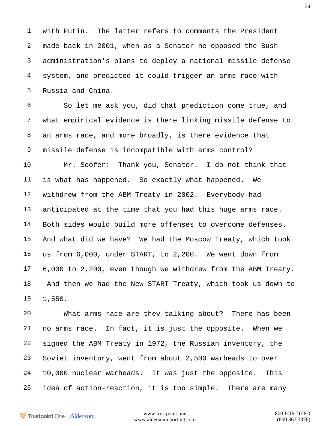with Putin. The letter refers to comments the President made back in 2001, when as a Senator he opposed the Bush administration's plans to deploy a national missile defense system, and predicted it could trigger an arms race with Russia and China.

 So let me ask you, did that prediction come true, and what empirical evidence is there linking missile defense to an arms race, and more broadly, is there evidence that missile defense is incompatible with arms control?

 Mr. Soofer: Thank you, Senator. I do not think that is what has happened. So exactly what happened. We withdrew from the ABM Treaty in 2002. Everybody had anticipated at the time that you had this huge arms race. Both sides would build more offenses to overcome defenses. And what did we have? We had the Moscow Treaty, which took us from 6,000, under START, to 2,200. We went down from 6,000 to 2,200, even though we withdrew from the ABM Treaty. And then we had the New START Treaty, which took us down to 1,550.

 What arms race are they talking about? There has been no arms race. In fact, it is just the opposite. When we signed the ABM Treaty in 1972, the Russian inventory, the Soviet inventory, went from about 2,500 warheads to over 10,000 nuclear warheads. It was just the opposite. This idea of action-reaction, it is too simple. There are many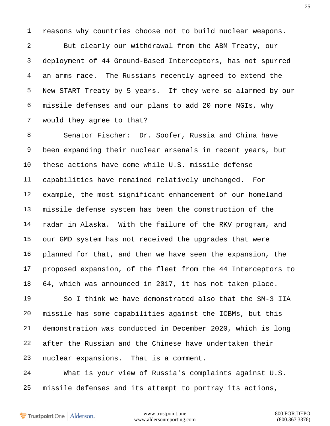reasons why countries choose not to build nuclear weapons.

 But clearly our withdrawal from the ABM Treaty, our deployment of 44 Ground-Based Interceptors, has not spurred an arms race. The Russians recently agreed to extend the New START Treaty by 5 years. If they were so alarmed by our missile defenses and our plans to add 20 more NGIs, why would they agree to that?

 Senator Fischer: Dr. Soofer, Russia and China have been expanding their nuclear arsenals in recent years, but these actions have come while U.S. missile defense capabilities have remained relatively unchanged. For example, the most significant enhancement of our homeland missile defense system has been the construction of the radar in Alaska. With the failure of the RKV program, and our GMD system has not received the upgrades that were planned for that, and then we have seen the expansion, the proposed expansion, of the fleet from the 44 Interceptors to 64, which was announced in 2017, it has not taken place.

 So I think we have demonstrated also that the SM-3 IIA missile has some capabilities against the ICBMs, but this demonstration was conducted in December 2020, which is long after the Russian and the Chinese have undertaken their nuclear expansions. That is a comment.

 What is your view of Russia's complaints against U.S. missile defenses and its attempt to portray its actions,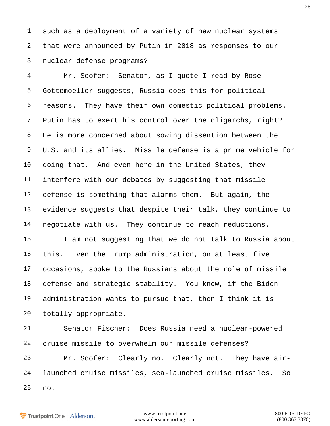such as a deployment of a variety of new nuclear systems that were announced by Putin in 2018 as responses to our nuclear defense programs?

 Mr. Soofer: Senator, as I quote I read by Rose Gottemoeller suggests, Russia does this for political reasons. They have their own domestic political problems. Putin has to exert his control over the oligarchs, right? He is more concerned about sowing dissention between the U.S. and its allies. Missile defense is a prime vehicle for doing that. And even here in the United States, they interfere with our debates by suggesting that missile defense is something that alarms them. But again, the evidence suggests that despite their talk, they continue to negotiate with us. They continue to reach reductions.

 I am not suggesting that we do not talk to Russia about this. Even the Trump administration, on at least five occasions, spoke to the Russians about the role of missile defense and strategic stability. You know, if the Biden administration wants to pursue that, then I think it is totally appropriate.

 Senator Fischer: Does Russia need a nuclear-powered cruise missile to overwhelm our missile defenses? Mr. Soofer: Clearly no. Clearly not. They have air- launched cruise missiles, sea-launched cruise missiles. So no.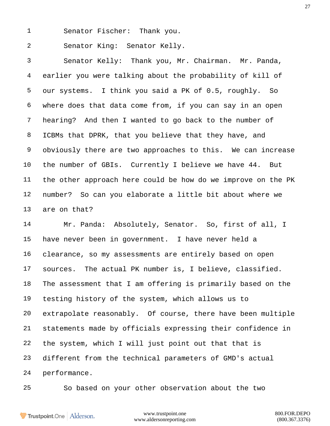Senator Fischer: Thank you.

Senator King: Senator Kelly.

 Senator Kelly: Thank you, Mr. Chairman. Mr. Panda, earlier you were talking about the probability of kill of our systems. I think you said a PK of 0.5, roughly. So where does that data come from, if you can say in an open hearing? And then I wanted to go back to the number of ICBMs that DPRK, that you believe that they have, and obviously there are two approaches to this. We can increase the number of GBIs. Currently I believe we have 44. But the other approach here could be how do we improve on the PK number? So can you elaborate a little bit about where we are on that?

 Mr. Panda: Absolutely, Senator. So, first of all, I have never been in government. I have never held a clearance, so my assessments are entirely based on open sources. The actual PK number is, I believe, classified. The assessment that I am offering is primarily based on the testing history of the system, which allows us to extrapolate reasonably. Of course, there have been multiple statements made by officials expressing their confidence in the system, which I will just point out that that is different from the technical parameters of GMD's actual performance.

So based on your other observation about the two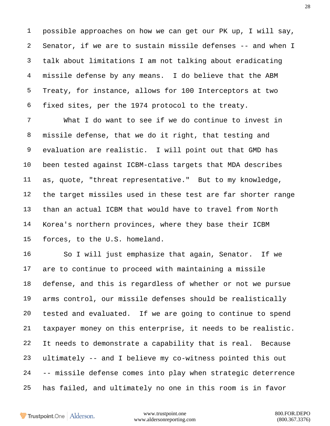possible approaches on how we can get our PK up, I will say, Senator, if we are to sustain missile defenses -- and when I talk about limitations I am not talking about eradicating missile defense by any means. I do believe that the ABM Treaty, for instance, allows for 100 Interceptors at two fixed sites, per the 1974 protocol to the treaty.

 What I do want to see if we do continue to invest in missile defense, that we do it right, that testing and evaluation are realistic. I will point out that GMD has been tested against ICBM-class targets that MDA describes as, quote, "threat representative." But to my knowledge, the target missiles used in these test are far shorter range than an actual ICBM that would have to travel from North Korea's northern provinces, where they base their ICBM forces, to the U.S. homeland.

 So I will just emphasize that again, Senator. If we are to continue to proceed with maintaining a missile defense, and this is regardless of whether or not we pursue arms control, our missile defenses should be realistically tested and evaluated. If we are going to continue to spend taxpayer money on this enterprise, it needs to be realistic. It needs to demonstrate a capability that is real. Because ultimately -- and I believe my co-witness pointed this out -- missile defense comes into play when strategic deterrence has failed, and ultimately no one in this room is in favor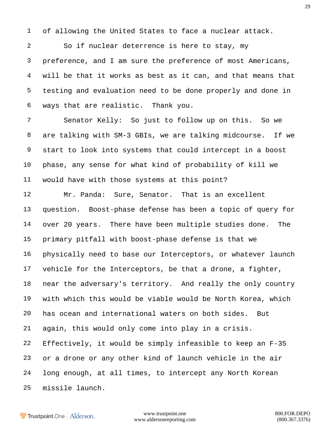of allowing the United States to face a nuclear attack.

 So if nuclear deterrence is here to stay, my preference, and I am sure the preference of most Americans, will be that it works as best as it can, and that means that testing and evaluation need to be done properly and done in ways that are realistic. Thank you.

 Senator Kelly: So just to follow up on this. So we are talking with SM-3 GBIs, we are talking midcourse. If we start to look into systems that could intercept in a boost phase, any sense for what kind of probability of kill we would have with those systems at this point?

 Mr. Panda: Sure, Senator. That is an excellent question. Boost-phase defense has been a topic of query for over 20 years. There have been multiple studies done. The primary pitfall with boost-phase defense is that we physically need to base our Interceptors, or whatever launch vehicle for the Interceptors, be that a drone, a fighter, near the adversary's territory. And really the only country with which this would be viable would be North Korea, which has ocean and international waters on both sides. But again, this would only come into play in a crisis. Effectively, it would be simply infeasible to keep an F-35 or a drone or any other kind of launch vehicle in the air long enough, at all times, to intercept any North Korean missile launch.

Trustpoint.One Alderson.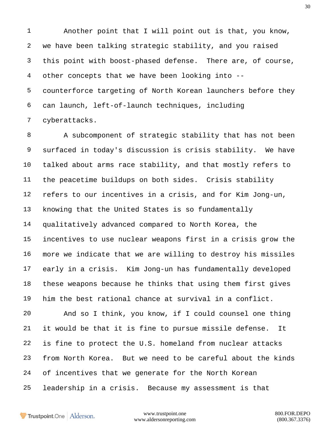Another point that I will point out is that, you know, we have been talking strategic stability, and you raised this point with boost-phased defense. There are, of course, other concepts that we have been looking into -- counterforce targeting of North Korean launchers before they can launch, left-of-launch techniques, including cyberattacks.

 A subcomponent of strategic stability that has not been surfaced in today's discussion is crisis stability. We have talked about arms race stability, and that mostly refers to the peacetime buildups on both sides. Crisis stability refers to our incentives in a crisis, and for Kim Jong-un, knowing that the United States is so fundamentally qualitatively advanced compared to North Korea, the incentives to use nuclear weapons first in a crisis grow the more we indicate that we are willing to destroy his missiles early in a crisis. Kim Jong-un has fundamentally developed these weapons because he thinks that using them first gives him the best rational chance at survival in a conflict.

 And so I think, you know, if I could counsel one thing it would be that it is fine to pursue missile defense. It is fine to protect the U.S. homeland from nuclear attacks from North Korea. But we need to be careful about the kinds of incentives that we generate for the North Korean leadership in a crisis. Because my assessment is that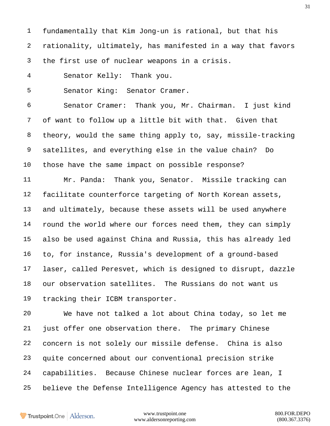fundamentally that Kim Jong-un is rational, but that his rationality, ultimately, has manifested in a way that favors the first use of nuclear weapons in a crisis.

Senator Kelly: Thank you.

Senator King: Senator Cramer.

 Senator Cramer: Thank you, Mr. Chairman. I just kind of want to follow up a little bit with that. Given that theory, would the same thing apply to, say, missile-tracking satellites, and everything else in the value chain? Do those have the same impact on possible response?

 Mr. Panda: Thank you, Senator. Missile tracking can facilitate counterforce targeting of North Korean assets, and ultimately, because these assets will be used anywhere round the world where our forces need them, they can simply also be used against China and Russia, this has already led to, for instance, Russia's development of a ground-based laser, called Peresvet, which is designed to disrupt, dazzle our observation satellites. The Russians do not want us tracking their ICBM transporter.

 We have not talked a lot about China today, so let me just offer one observation there. The primary Chinese concern is not solely our missile defense. China is also quite concerned about our conventional precision strike capabilities. Because Chinese nuclear forces are lean, I believe the Defense Intelligence Agency has attested to the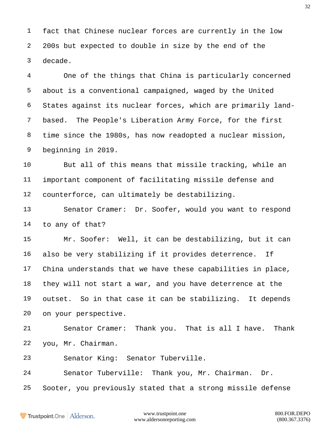fact that Chinese nuclear forces are currently in the low 200s but expected to double in size by the end of the decade.

 One of the things that China is particularly concerned about is a conventional campaigned, waged by the United States against its nuclear forces, which are primarily land- based. The People's Liberation Army Force, for the first time since the 1980s, has now readopted a nuclear mission, beginning in 2019.

 But all of this means that missile tracking, while an important component of facilitating missile defense and counterforce, can ultimately be destabilizing.

 Senator Cramer: Dr. Soofer, would you want to respond to any of that?

 Mr. Soofer: Well, it can be destabilizing, but it can also be very stabilizing if it provides deterrence. If China understands that we have these capabilities in place, they will not start a war, and you have deterrence at the outset. So in that case it can be stabilizing. It depends on your perspective.

 Senator Cramer: Thank you. That is all I have. Thank you, Mr. Chairman.

Senator King: Senator Tuberville.

Senator Tuberville: Thank you, Mr. Chairman. Dr.

Sooter, you previously stated that a strong missile defense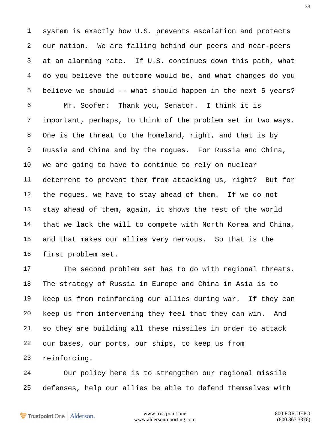system is exactly how U.S. prevents escalation and protects our nation. We are falling behind our peers and near-peers at an alarming rate. If U.S. continues down this path, what do you believe the outcome would be, and what changes do you believe we should -- what should happen in the next 5 years? Mr. Soofer: Thank you, Senator. I think it is important, perhaps, to think of the problem set in two ways. One is the threat to the homeland, right, and that is by Russia and China and by the rogues. For Russia and China, we are going to have to continue to rely on nuclear deterrent to prevent them from attacking us, right? But for the rogues, we have to stay ahead of them. If we do not stay ahead of them, again, it shows the rest of the world that we lack the will to compete with North Korea and China, and that makes our allies very nervous. So that is the first problem set.

 The second problem set has to do with regional threats. The strategy of Russia in Europe and China in Asia is to keep us from reinforcing our allies during war. If they can keep us from intervening they feel that they can win. And so they are building all these missiles in order to attack our bases, our ports, our ships, to keep us from reinforcing.

 Our policy here is to strengthen our regional missile defenses, help our allies be able to defend themselves with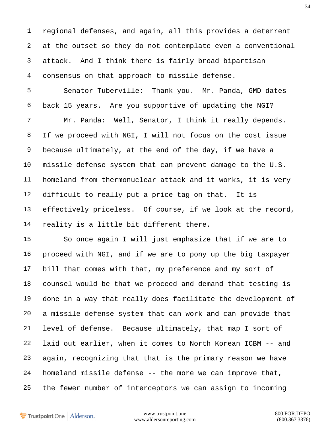regional defenses, and again, all this provides a deterrent at the outset so they do not contemplate even a conventional attack. And I think there is fairly broad bipartisan consensus on that approach to missile defense.

 Senator Tuberville: Thank you. Mr. Panda, GMD dates back 15 years. Are you supportive of updating the NGI? Mr. Panda: Well, Senator, I think it really depends. If we proceed with NGI, I will not focus on the cost issue because ultimately, at the end of the day, if we have a missile defense system that can prevent damage to the U.S. homeland from thermonuclear attack and it works, it is very difficult to really put a price tag on that. It is effectively priceless. Of course, if we look at the record, reality is a little bit different there.

 So once again I will just emphasize that if we are to proceed with NGI, and if we are to pony up the big taxpayer bill that comes with that, my preference and my sort of counsel would be that we proceed and demand that testing is done in a way that really does facilitate the development of a missile defense system that can work and can provide that level of defense. Because ultimately, that map I sort of laid out earlier, when it comes to North Korean ICBM -- and again, recognizing that that is the primary reason we have homeland missile defense -- the more we can improve that, the fewer number of interceptors we can assign to incoming

Trustpoint.One Alderson.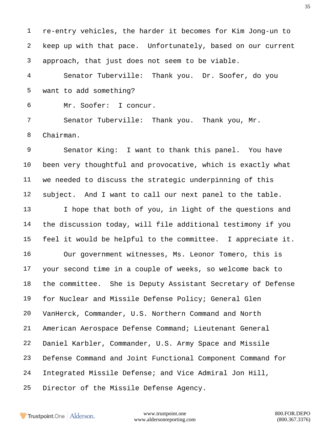re-entry vehicles, the harder it becomes for Kim Jong-un to keep up with that pace. Unfortunately, based on our current approach, that just does not seem to be viable.

 Senator Tuberville: Thank you. Dr. Soofer, do you want to add something?

Mr. Soofer: I concur.

 Senator Tuberville: Thank you. Thank you, Mr. Chairman.

 Senator King: I want to thank this panel. You have been very thoughtful and provocative, which is exactly what we needed to discuss the strategic underpinning of this subject. And I want to call our next panel to the table. I hope that both of you, in light of the questions and the discussion today, will file additional testimony if you feel it would be helpful to the committee. I appreciate it. Our government witnesses, Ms. Leonor Tomero, this is your second time in a couple of weeks, so welcome back to the committee. She is Deputy Assistant Secretary of Defense for Nuclear and Missile Defense Policy; General Glen VanHerck, Commander, U.S. Northern Command and North American Aerospace Defense Command; Lieutenant General Daniel Karbler, Commander, U.S. Army Space and Missile Defense Command and Joint Functional Component Command for Integrated Missile Defense; and Vice Admiral Jon Hill, Director of the Missile Defense Agency.

Trustpoint.One Alderson.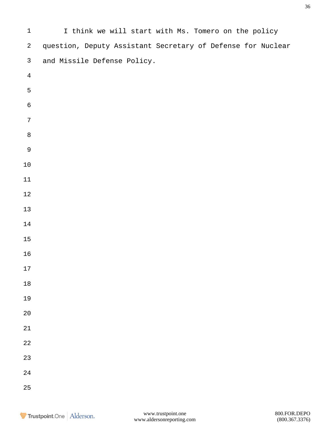| $\mathbf{1}$   | I think we will start with Ms. Tomero on the policy         |
|----------------|-------------------------------------------------------------|
| $\overline{a}$ | question, Deputy Assistant Secretary of Defense for Nuclear |
| $\mathsf{3}$   | and Missile Defense Policy.                                 |
| $\overline{4}$ |                                                             |
| $\mathsf S$    |                                                             |
| $\,$ 6 $\,$    |                                                             |
| $\sqrt{ }$     |                                                             |
| $\,8\,$        |                                                             |
| $\mathsf 9$    |                                                             |
| $1\,0$         |                                                             |
| 11             |                                                             |
| $1\,2$         |                                                             |
| $13$           |                                                             |
| $14$           |                                                             |
| $15\,$         |                                                             |
| 16             |                                                             |
| 17             |                                                             |
| $18\,$         |                                                             |
| 19             |                                                             |
| $20$           |                                                             |
| 21             |                                                             |
| 22             |                                                             |
| 23             |                                                             |
| 24             |                                                             |
| 25             |                                                             |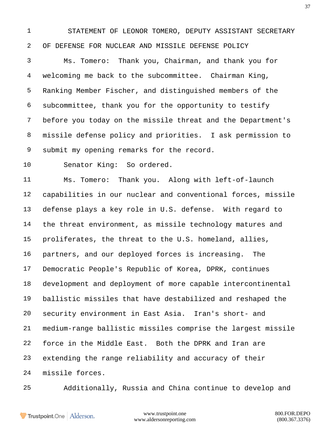STATEMENT OF LEONOR TOMERO, DEPUTY ASSISTANT SECRETARY OF DEFENSE FOR NUCLEAR AND MISSILE DEFENSE POLICY

 Ms. Tomero: Thank you, Chairman, and thank you for welcoming me back to the subcommittee. Chairman King, Ranking Member Fischer, and distinguished members of the subcommittee, thank you for the opportunity to testify before you today on the missile threat and the Department's missile defense policy and priorities. I ask permission to submit my opening remarks for the record.

Senator King: So ordered.

 Ms. Tomero: Thank you. Along with left-of-launch capabilities in our nuclear and conventional forces, missile defense plays a key role in U.S. defense. With regard to the threat environment, as missile technology matures and proliferates, the threat to the U.S. homeland, allies, partners, and our deployed forces is increasing. The Democratic People's Republic of Korea, DPRK, continues development and deployment of more capable intercontinental ballistic missiles that have destabilized and reshaped the security environment in East Asia. Iran's short- and medium-range ballistic missiles comprise the largest missile force in the Middle East. Both the DPRK and Iran are extending the range reliability and accuracy of their missile forces.

Additionally, Russia and China continue to develop and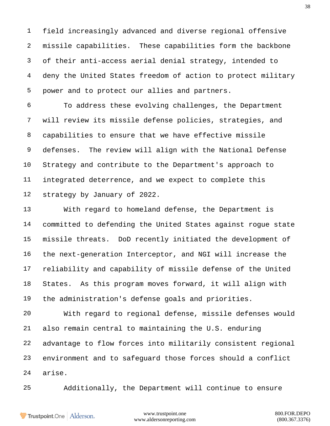field increasingly advanced and diverse regional offensive missile capabilities. These capabilities form the backbone of their anti-access aerial denial strategy, intended to deny the United States freedom of action to protect military power and to protect our allies and partners.

 To address these evolving challenges, the Department will review its missile defense policies, strategies, and capabilities to ensure that we have effective missile defenses. The review will align with the National Defense Strategy and contribute to the Department's approach to integrated deterrence, and we expect to complete this strategy by January of 2022.

 With regard to homeland defense, the Department is committed to defending the United States against rogue state missile threats. DoD recently initiated the development of the next-generation Interceptor, and NGI will increase the reliability and capability of missile defense of the United States. As this program moves forward, it will align with the administration's defense goals and priorities.

 With regard to regional defense, missile defenses would also remain central to maintaining the U.S. enduring advantage to flow forces into militarily consistent regional environment and to safeguard those forces should a conflict arise.

Additionally, the Department will continue to ensure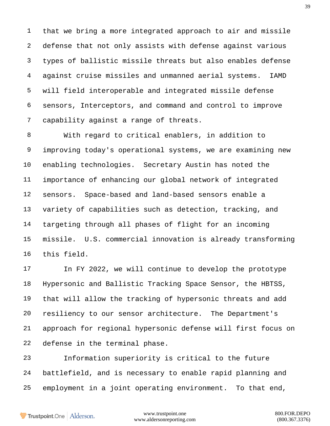that we bring a more integrated approach to air and missile defense that not only assists with defense against various types of ballistic missile threats but also enables defense against cruise missiles and unmanned aerial systems. IAMD will field interoperable and integrated missile defense sensors, Interceptors, and command and control to improve capability against a range of threats.

 With regard to critical enablers, in addition to improving today's operational systems, we are examining new enabling technologies. Secretary Austin has noted the importance of enhancing our global network of integrated sensors. Space-based and land-based sensors enable a variety of capabilities such as detection, tracking, and targeting through all phases of flight for an incoming missile. U.S. commercial innovation is already transforming this field.

 In FY 2022, we will continue to develop the prototype Hypersonic and Ballistic Tracking Space Sensor, the HBTSS, that will allow the tracking of hypersonic threats and add resiliency to our sensor architecture. The Department's approach for regional hypersonic defense will first focus on defense in the terminal phase.

 Information superiority is critical to the future battlefield, and is necessary to enable rapid planning and employment in a joint operating environment. To that end,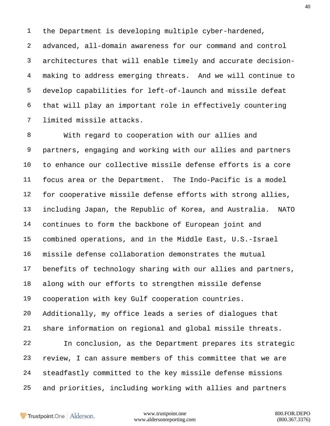the Department is developing multiple cyber-hardened,

 advanced, all-domain awareness for our command and control architectures that will enable timely and accurate decision- making to address emerging threats. And we will continue to develop capabilities for left-of-launch and missile defeat that will play an important role in effectively countering limited missile attacks.

 With regard to cooperation with our allies and partners, engaging and working with our allies and partners to enhance our collective missile defense efforts is a core focus area or the Department. The Indo-Pacific is a model for cooperative missile defense efforts with strong allies, including Japan, the Republic of Korea, and Australia. NATO continues to form the backbone of European joint and combined operations, and in the Middle East, U.S.-Israel missile defense collaboration demonstrates the mutual benefits of technology sharing with our allies and partners, along with our efforts to strengthen missile defense cooperation with key Gulf cooperation countries. Additionally, my office leads a series of dialogues that share information on regional and global missile threats. In conclusion, as the Department prepares its strategic review, I can assure members of this committee that we are steadfastly committed to the key missile defense missions

and priorities, including working with allies and partners

Trustpoint.One Alderson.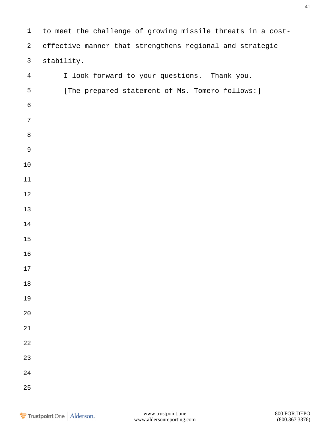| $1\,$            | to meet the challenge of growing missile threats in a cost- |
|------------------|-------------------------------------------------------------|
| $\overline{a}$   | effective manner that strengthens regional and strategic    |
| $\mathsf{3}$     | stability.                                                  |
| $\overline{4}$   | I look forward to your questions. Thank you.                |
| 5                | [The prepared statement of Ms. Tomero follows: ]            |
| $\epsilon$       |                                                             |
| $\boldsymbol{7}$ |                                                             |
| $\,8\,$          |                                                             |
| $\mathsf 9$      |                                                             |
| $1\,0$           |                                                             |
| 11               |                                                             |
| $1\,2$           |                                                             |
| 13               |                                                             |
| 14               |                                                             |
| $15\,$           |                                                             |
| 16               |                                                             |
| 17               |                                                             |
| $18\,$           |                                                             |
| 19               |                                                             |
| $2\,0$           |                                                             |
| $21\,$           |                                                             |
| $2\sqrt{2}$      |                                                             |
| $23\,$           |                                                             |
| $2\sqrt{4}$      |                                                             |
| 25               |                                                             |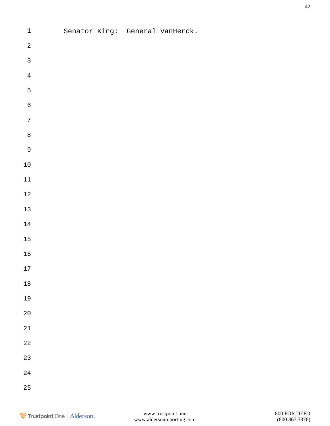| $\sqrt{2}$<br>$\mathsf{3}$<br>$\bf 4$<br>$\overline{5}$<br>$\epsilon$<br>$\sqrt{ }$<br>$\,8\,$<br>$\overline{9}$<br>$1\,0$<br>$11\,$<br>$1\,2$<br>$13\,$<br>$1\,4$<br>$15\,$<br>$16\,$<br>$17$<br>$1\,8$<br>19<br>$2\,0$<br>21<br>$2\sqrt{2}$<br>23<br>24 | $\mathbf 1$ |  | Senator King: General VanHerck. |
|-----------------------------------------------------------------------------------------------------------------------------------------------------------------------------------------------------------------------------------------------------------|-------------|--|---------------------------------|
|                                                                                                                                                                                                                                                           |             |  |                                 |
|                                                                                                                                                                                                                                                           |             |  |                                 |
|                                                                                                                                                                                                                                                           |             |  |                                 |
|                                                                                                                                                                                                                                                           |             |  |                                 |
|                                                                                                                                                                                                                                                           |             |  |                                 |
|                                                                                                                                                                                                                                                           |             |  |                                 |
|                                                                                                                                                                                                                                                           |             |  |                                 |
|                                                                                                                                                                                                                                                           |             |  |                                 |
|                                                                                                                                                                                                                                                           |             |  |                                 |
|                                                                                                                                                                                                                                                           |             |  |                                 |
|                                                                                                                                                                                                                                                           |             |  |                                 |
|                                                                                                                                                                                                                                                           |             |  |                                 |
|                                                                                                                                                                                                                                                           |             |  |                                 |
|                                                                                                                                                                                                                                                           |             |  |                                 |
|                                                                                                                                                                                                                                                           |             |  |                                 |
|                                                                                                                                                                                                                                                           |             |  |                                 |
|                                                                                                                                                                                                                                                           |             |  |                                 |
|                                                                                                                                                                                                                                                           |             |  |                                 |
|                                                                                                                                                                                                                                                           |             |  |                                 |
|                                                                                                                                                                                                                                                           |             |  |                                 |
|                                                                                                                                                                                                                                                           |             |  |                                 |
|                                                                                                                                                                                                                                                           |             |  |                                 |
|                                                                                                                                                                                                                                                           |             |  |                                 |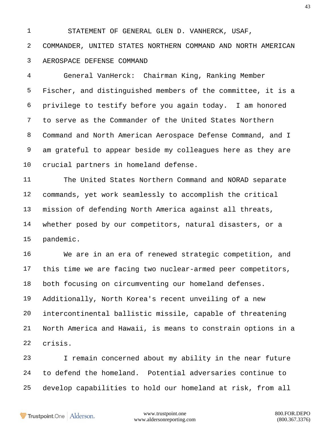STATEMENT OF GENERAL GLEN D. VANHERCK, USAF,

 COMMANDER, UNITED STATES NORTHERN COMMAND AND NORTH AMERICAN AEROSPACE DEFENSE COMMAND

 General VanHerck: Chairman King, Ranking Member Fischer, and distinguished members of the committee, it is a privilege to testify before you again today. I am honored to serve as the Commander of the United States Northern Command and North American Aerospace Defense Command, and I am grateful to appear beside my colleagues here as they are crucial partners in homeland defense.

 The United States Northern Command and NORAD separate commands, yet work seamlessly to accomplish the critical mission of defending North America against all threats, whether posed by our competitors, natural disasters, or a pandemic.

 We are in an era of renewed strategic competition, and this time we are facing two nuclear-armed peer competitors, both focusing on circumventing our homeland defenses. Additionally, North Korea's recent unveiling of a new intercontinental ballistic missile, capable of threatening North America and Hawaii, is means to constrain options in a crisis.

 I remain concerned about my ability in the near future to defend the homeland. Potential adversaries continue to develop capabilities to hold our homeland at risk, from all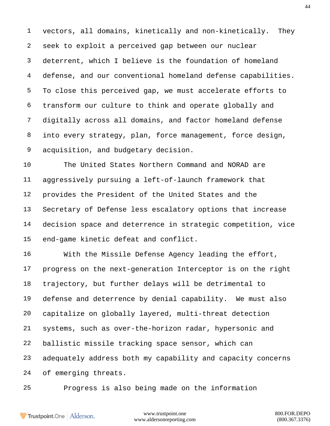vectors, all domains, kinetically and non-kinetically. They seek to exploit a perceived gap between our nuclear deterrent, which I believe is the foundation of homeland defense, and our conventional homeland defense capabilities. To close this perceived gap, we must accelerate efforts to transform our culture to think and operate globally and digitally across all domains, and factor homeland defense into every strategy, plan, force management, force design, acquisition, and budgetary decision.

 The United States Northern Command and NORAD are aggressively pursuing a left-of-launch framework that provides the President of the United States and the Secretary of Defense less escalatory options that increase decision space and deterrence in strategic competition, vice end-game kinetic defeat and conflict.

 With the Missile Defense Agency leading the effort, progress on the next-generation Interceptor is on the right trajectory, but further delays will be detrimental to defense and deterrence by denial capability. We must also capitalize on globally layered, multi-threat detection systems, such as over-the-horizon radar, hypersonic and ballistic missile tracking space sensor, which can adequately address both my capability and capacity concerns of emerging threats.

Progress is also being made on the information

Trustpoint.One Alderson.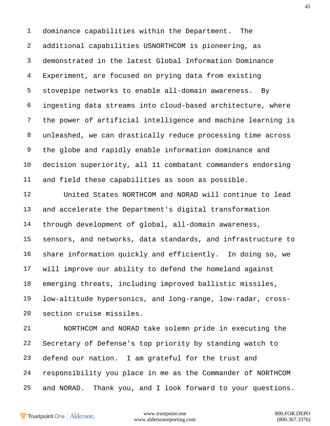dominance capabilities within the Department. The additional capabilities USNORTHCOM is pioneering, as demonstrated in the latest Global Information Dominance Experiment, are focused on prying data from existing stovepipe networks to enable all-domain awareness. By ingesting data streams into cloud-based architecture, where the power of artificial intelligence and machine learning is unleashed, we can drastically reduce processing time across the globe and rapidly enable information dominance and decision superiority, all 11 combatant commanders endorsing and field these capabilities as soon as possible.

 United States NORTHCOM and NORAD will continue to lead and accelerate the Department's digital transformation through development of global, all-domain awareness, sensors, and networks, data standards, and infrastructure to share information quickly and efficiently. In doing so, we will improve our ability to defend the homeland against emerging threats, including improved ballistic missiles, low-altitude hypersonics, and long-range, low-radar, cross-section cruise missiles.

 NORTHCOM and NORAD take solemn pride in executing the Secretary of Defense's top priority by standing watch to defend our nation. I am grateful for the trust and responsibility you place in me as the Commander of NORTHCOM and NORAD. Thank you, and I look forward to your questions.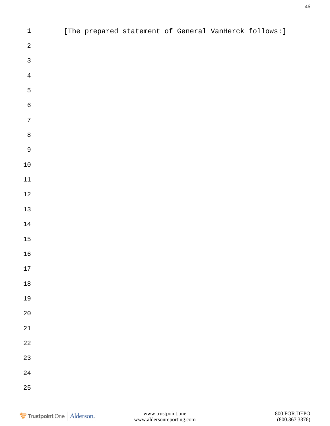| $\ensuremath{\mathsf{1}}$ |  | [The prepared statement of General VanHerck follows: ] |  |  |
|---------------------------|--|--------------------------------------------------------|--|--|
| $\sqrt{2}$                |  |                                                        |  |  |
| $\mathsf{3}$              |  |                                                        |  |  |
| $\bf 4$                   |  |                                                        |  |  |
| 5                         |  |                                                        |  |  |
| $\sqrt{6}$                |  |                                                        |  |  |
| $\boldsymbol{7}$          |  |                                                        |  |  |
| $\,8\,$                   |  |                                                        |  |  |
| $\mathcal{G}$             |  |                                                        |  |  |
| $1\,0$                    |  |                                                        |  |  |
| $11\,$                    |  |                                                        |  |  |
| $12\,$                    |  |                                                        |  |  |
| $13\,$                    |  |                                                        |  |  |
| $14\,$                    |  |                                                        |  |  |
| $15\,$                    |  |                                                        |  |  |
| $16$                      |  |                                                        |  |  |
| $17\,$                    |  |                                                        |  |  |
| $18\,$                    |  |                                                        |  |  |
| 19                        |  |                                                        |  |  |
| $20\,$                    |  |                                                        |  |  |
| $2\sqrt{1}$               |  |                                                        |  |  |
| $2\sqrt{2}$               |  |                                                        |  |  |
| $23$                      |  |                                                        |  |  |
| $2\sqrt{4}$               |  |                                                        |  |  |
| $25\,$                    |  |                                                        |  |  |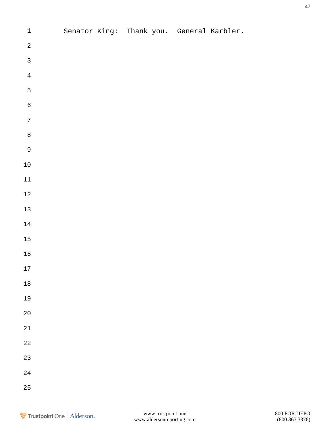| $\mathbf 1$    |  |  | Senator King: Thank you. General Karbler. |
|----------------|--|--|-------------------------------------------|
| $\sqrt{2}$     |  |  |                                           |
| $\overline{3}$ |  |  |                                           |
| $\overline{4}$ |  |  |                                           |
| $\overline{5}$ |  |  |                                           |
| $\overline{6}$ |  |  |                                           |
| $\overline{7}$ |  |  |                                           |
| 8              |  |  |                                           |
| $\overline{9}$ |  |  |                                           |
| $10\,$         |  |  |                                           |
| $11\,$         |  |  |                                           |
| $1\sqrt{2}$    |  |  |                                           |
| $13\,$         |  |  |                                           |
| $14\,$         |  |  |                                           |
| $15\,$         |  |  |                                           |
| $16\,$         |  |  |                                           |
| 17             |  |  |                                           |
| $18\,$         |  |  |                                           |
| 19             |  |  |                                           |
| $2\,0$         |  |  |                                           |
| $2\sqrt{1}$    |  |  |                                           |
| $2\sqrt{2}$    |  |  |                                           |
| 23             |  |  |                                           |
| $2\sqrt{4}$    |  |  |                                           |
| $25\,$         |  |  |                                           |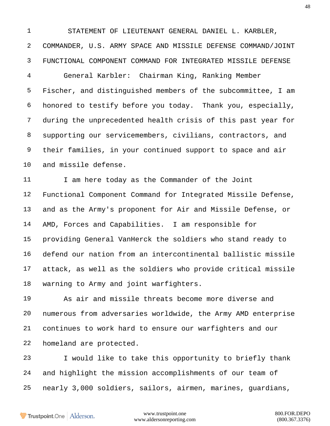STATEMENT OF LIEUTENANT GENERAL DANIEL L. KARBLER, COMMANDER, U.S. ARMY SPACE AND MISSILE DEFENSE COMMAND/JOINT FUNCTIONAL COMPONENT COMMAND FOR INTEGRATED MISSILE DEFENSE

 General Karbler: Chairman King, Ranking Member Fischer, and distinguished members of the subcommittee, I am honored to testify before you today. Thank you, especially, during the unprecedented health crisis of this past year for supporting our servicemembers, civilians, contractors, and their families, in your continued support to space and air and missile defense.

11 I am here today as the Commander of the Joint Functional Component Command for Integrated Missile Defense, and as the Army's proponent for Air and Missile Defense, or AMD, Forces and Capabilities. I am responsible for providing General VanHerck the soldiers who stand ready to defend our nation from an intercontinental ballistic missile attack, as well as the soldiers who provide critical missile warning to Army and joint warfighters.

 As air and missile threats become more diverse and numerous from adversaries worldwide, the Army AMD enterprise continues to work hard to ensure our warfighters and our homeland are protected.

 I would like to take this opportunity to briefly thank and highlight the mission accomplishments of our team of nearly 3,000 soldiers, sailors, airmen, marines, guardians,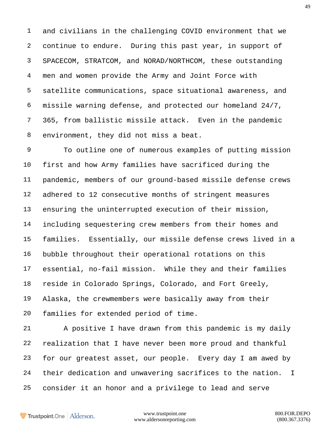and civilians in the challenging COVID environment that we continue to endure. During this past year, in support of SPACECOM, STRATCOM, and NORAD/NORTHCOM, these outstanding men and women provide the Army and Joint Force with satellite communications, space situational awareness, and missile warning defense, and protected our homeland 24/7, 365, from ballistic missile attack. Even in the pandemic environment, they did not miss a beat.

 To outline one of numerous examples of putting mission first and how Army families have sacrificed during the pandemic, members of our ground-based missile defense crews adhered to 12 consecutive months of stringent measures ensuring the uninterrupted execution of their mission, including sequestering crew members from their homes and families. Essentially, our missile defense crews lived in a bubble throughout their operational rotations on this essential, no-fail mission. While they and their families reside in Colorado Springs, Colorado, and Fort Greely, Alaska, the crewmembers were basically away from their families for extended period of time.

 A positive I have drawn from this pandemic is my daily realization that I have never been more proud and thankful for our greatest asset, our people. Every day I am awed by their dedication and unwavering sacrifices to the nation. I consider it an honor and a privilege to lead and serve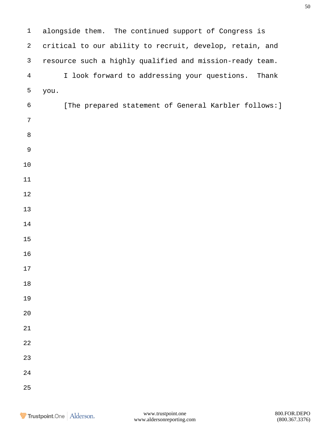| $\mathbf 1$    | alongside them. The continued support of Congress is     |
|----------------|----------------------------------------------------------|
| $\overline{a}$ | critical to our ability to recruit, develop, retain, and |
| $\mathsf{3}$   | resource such a highly qualified and mission-ready team. |
| $\overline{4}$ | I look forward to addressing your questions. Thank       |
| 5              | you.                                                     |
| $\sqrt{6}$     | [The prepared statement of General Karbler follows:]     |
| 7              |                                                          |
| $\,8\,$        |                                                          |
| $\mathsf 9$    |                                                          |
| 10             |                                                          |
| 11             |                                                          |
| $12$           |                                                          |
| 13             |                                                          |
| 14             |                                                          |
| 15             |                                                          |
| 16             |                                                          |
| $17$           |                                                          |
| 18             |                                                          |
| 19             |                                                          |
| 20             |                                                          |
| 21             |                                                          |
| 22             |                                                          |
| 23             |                                                          |
| 24             |                                                          |
| 25             |                                                          |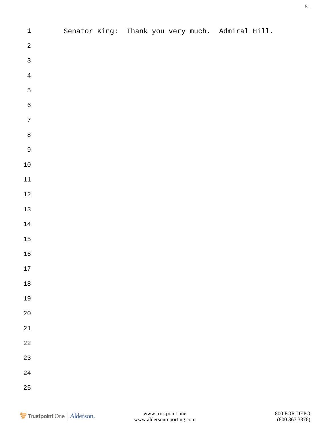| $\mathbf 1$    |  |  |  | Senator King: Thank you very much. Admiral Hill. |  |
|----------------|--|--|--|--------------------------------------------------|--|
| $\sqrt{2}$     |  |  |  |                                                  |  |
| $\overline{3}$ |  |  |  |                                                  |  |
| $\bf 4$        |  |  |  |                                                  |  |
| 5              |  |  |  |                                                  |  |
| $\overline{6}$ |  |  |  |                                                  |  |
| $\sqrt{ }$     |  |  |  |                                                  |  |
| $\overline{8}$ |  |  |  |                                                  |  |
| $\overline{9}$ |  |  |  |                                                  |  |
| $1\,0$         |  |  |  |                                                  |  |
| $11\,$         |  |  |  |                                                  |  |
| $12\,$         |  |  |  |                                                  |  |
| $13\,$         |  |  |  |                                                  |  |
| $14\,$         |  |  |  |                                                  |  |
| $15\,$         |  |  |  |                                                  |  |
| $16$           |  |  |  |                                                  |  |
| $17$           |  |  |  |                                                  |  |
| $1\,8$         |  |  |  |                                                  |  |
| 19             |  |  |  |                                                  |  |
| $20\,$         |  |  |  |                                                  |  |
| 21             |  |  |  |                                                  |  |
| $2\sqrt{2}$    |  |  |  |                                                  |  |
| 23             |  |  |  |                                                  |  |
| $2\sqrt{4}$    |  |  |  |                                                  |  |
| 25             |  |  |  |                                                  |  |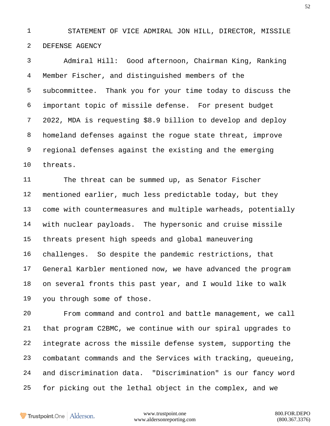STATEMENT OF VICE ADMIRAL JON HILL, DIRECTOR, MISSILE DEFENSE AGENCY

 Admiral Hill: Good afternoon, Chairman King, Ranking Member Fischer, and distinguished members of the subcommittee. Thank you for your time today to discuss the important topic of missile defense. For present budget 2022, MDA is requesting \$8.9 billion to develop and deploy homeland defenses against the rogue state threat, improve regional defenses against the existing and the emerging threats.

 The threat can be summed up, as Senator Fischer mentioned earlier, much less predictable today, but they come with countermeasures and multiple warheads, potentially with nuclear payloads. The hypersonic and cruise missile threats present high speeds and global maneuvering challenges. So despite the pandemic restrictions, that General Karbler mentioned now, we have advanced the program on several fronts this past year, and I would like to walk you through some of those.

 From command and control and battle management, we call that program C2BMC, we continue with our spiral upgrades to integrate across the missile defense system, supporting the combatant commands and the Services with tracking, queueing, and discrimination data. "Discrimination" is our fancy word for picking out the lethal object in the complex, and we

Trustpoint.One Alderson.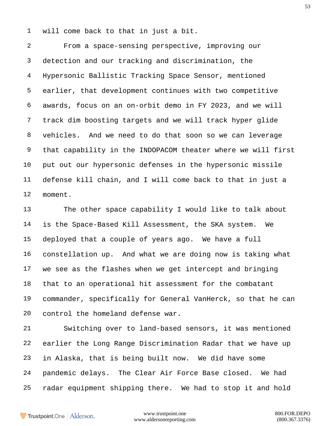will come back to that in just a bit.

 From a space-sensing perspective, improving our detection and our tracking and discrimination, the Hypersonic Ballistic Tracking Space Sensor, mentioned earlier, that development continues with two competitive awards, focus on an on-orbit demo in FY 2023, and we will track dim boosting targets and we will track hyper glide vehicles. And we need to do that soon so we can leverage that capability in the INDOPACOM theater where we will first put out our hypersonic defenses in the hypersonic missile defense kill chain, and I will come back to that in just a moment.

 The other space capability I would like to talk about is the Space-Based Kill Assessment, the SKA system. We deployed that a couple of years ago. We have a full constellation up. And what we are doing now is taking what we see as the flashes when we get intercept and bringing that to an operational hit assessment for the combatant commander, specifically for General VanHerck, so that he can control the homeland defense war.

 Switching over to land-based sensors, it was mentioned earlier the Long Range Discrimination Radar that we have up in Alaska, that is being built now. We did have some pandemic delays. The Clear Air Force Base closed. We had radar equipment shipping there. We had to stop it and hold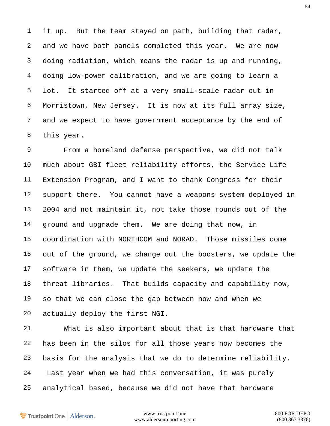it up. But the team stayed on path, building that radar, and we have both panels completed this year. We are now doing radiation, which means the radar is up and running, doing low-power calibration, and we are going to learn a lot. It started off at a very small-scale radar out in Morristown, New Jersey. It is now at its full array size, and we expect to have government acceptance by the end of this year.

 From a homeland defense perspective, we did not talk much about GBI fleet reliability efforts, the Service Life Extension Program, and I want to thank Congress for their support there. You cannot have a weapons system deployed in 2004 and not maintain it, not take those rounds out of the ground and upgrade them. We are doing that now, in coordination with NORTHCOM and NORAD. Those missiles come out of the ground, we change out the boosters, we update the software in them, we update the seekers, we update the threat libraries. That builds capacity and capability now, so that we can close the gap between now and when we actually deploy the first NGI.

 What is also important about that is that hardware that has been in the silos for all those years now becomes the basis for the analysis that we do to determine reliability. Last year when we had this conversation, it was purely analytical based, because we did not have that hardware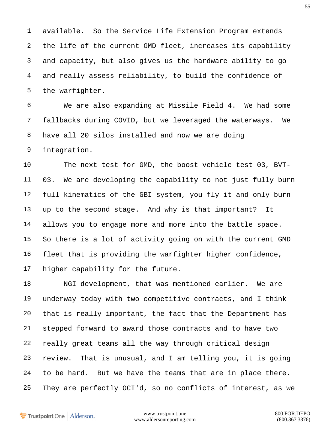available. So the Service Life Extension Program extends the life of the current GMD fleet, increases its capability and capacity, but also gives us the hardware ability to go and really assess reliability, to build the confidence of the warfighter.

 We are also expanding at Missile Field 4. We had some fallbacks during COVID, but we leveraged the waterways. We have all 20 silos installed and now we are doing integration.

 The next test for GMD, the boost vehicle test 03, BVT- 03. We are developing the capability to not just fully burn full kinematics of the GBI system, you fly it and only burn up to the second stage. And why is that important? It allows you to engage more and more into the battle space. So there is a lot of activity going on with the current GMD fleet that is providing the warfighter higher confidence, higher capability for the future.

 NGI development, that was mentioned earlier. We are underway today with two competitive contracts, and I think that is really important, the fact that the Department has stepped forward to award those contracts and to have two really great teams all the way through critical design review. That is unusual, and I am telling you, it is going to be hard. But we have the teams that are in place there. They are perfectly OCI'd, so no conflicts of interest, as we

Trustpoint.One Alderson.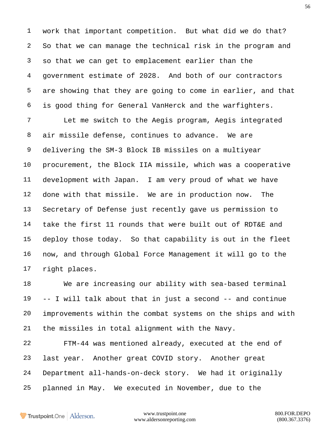work that important competition. But what did we do that? So that we can manage the technical risk in the program and so that we can get to emplacement earlier than the government estimate of 2028. And both of our contractors are showing that they are going to come in earlier, and that is good thing for General VanHerck and the warfighters.

 Let me switch to the Aegis program, Aegis integrated air missile defense, continues to advance. We are delivering the SM-3 Block IB missiles on a multiyear procurement, the Block IIA missile, which was a cooperative development with Japan. I am very proud of what we have done with that missile. We are in production now. The Secretary of Defense just recently gave us permission to take the first 11 rounds that were built out of RDT&E and deploy those today. So that capability is out in the fleet now, and through Global Force Management it will go to the right places.

 We are increasing our ability with sea-based terminal -- I will talk about that in just a second -- and continue improvements within the combat systems on the ships and with the missiles in total alignment with the Navy.

 FTM-44 was mentioned already, executed at the end of last year. Another great COVID story. Another great Department all-hands-on-deck story. We had it originally planned in May. We executed in November, due to the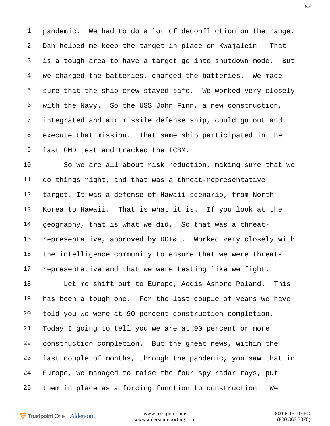pandemic. We had to do a lot of deconfliction on the range. Dan helped me keep the target in place on Kwajalein. That is a tough area to have a target go into shutdown mode. But we charged the batteries, charged the batteries. We made sure that the ship crew stayed safe. We worked very closely with the Navy. So the USS John Finn, a new construction, integrated and air missile defense ship, could go out and execute that mission. That same ship participated in the last GMD test and tracked the ICBM.

 So we are all about risk reduction, making sure that we do things right, and that was a threat-representative target. It was a defense-of-Hawaii scenario, from North Korea to Hawaii. That is what it is. If you look at the geography, that is what we did. So that was a threat- representative, approved by DOT&E. Worked very closely with the intelligence community to ensure that we were threat-representative and that we were testing like we fight.

 Let me shift out to Europe, Aegis Ashore Poland. This has been a tough one. For the last couple of years we have told you we were at 90 percent construction completion. Today I going to tell you we are at 90 percent or more construction completion. But the great news, within the last couple of months, through the pandemic, you saw that in Europe, we managed to raise the four spy radar rays, put them in place as a forcing function to construction. We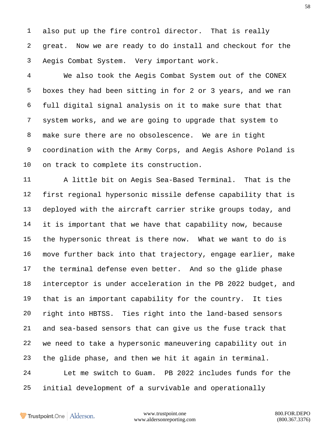also put up the fire control director. That is really great. Now we are ready to do install and checkout for the Aegis Combat System. Very important work.

 We also took the Aegis Combat System out of the CONEX boxes they had been sitting in for 2 or 3 years, and we ran full digital signal analysis on it to make sure that that system works, and we are going to upgrade that system to make sure there are no obsolescence. We are in tight coordination with the Army Corps, and Aegis Ashore Poland is on track to complete its construction.

 A little bit on Aegis Sea-Based Terminal. That is the first regional hypersonic missile defense capability that is deployed with the aircraft carrier strike groups today, and it is important that we have that capability now, because the hypersonic threat is there now. What we want to do is move further back into that trajectory, engage earlier, make the terminal defense even better. And so the glide phase interceptor is under acceleration in the PB 2022 budget, and that is an important capability for the country. It ties right into HBTSS. Ties right into the land-based sensors and sea-based sensors that can give us the fuse track that we need to take a hypersonic maneuvering capability out in the glide phase, and then we hit it again in terminal. Let me switch to Guam. PB 2022 includes funds for the initial development of a survivable and operationally

Trustpoint.One Alderson.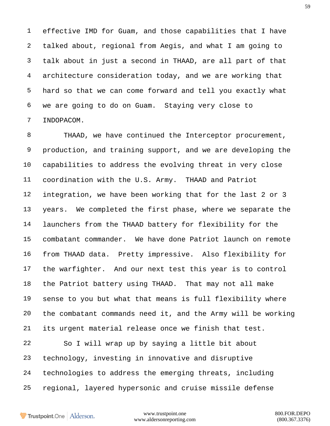effective IMD for Guam, and those capabilities that I have talked about, regional from Aegis, and what I am going to talk about in just a second in THAAD, are all part of that architecture consideration today, and we are working that hard so that we can come forward and tell you exactly what we are going to do on Guam. Staying very close to INDOPACOM.

 THAAD, we have continued the Interceptor procurement, production, and training support, and we are developing the capabilities to address the evolving threat in very close coordination with the U.S. Army. THAAD and Patriot integration, we have been working that for the last 2 or 3 years. We completed the first phase, where we separate the launchers from the THAAD battery for flexibility for the combatant commander. We have done Patriot launch on remote from THAAD data. Pretty impressive. Also flexibility for the warfighter. And our next test this year is to control the Patriot battery using THAAD. That may not all make sense to you but what that means is full flexibility where the combatant commands need it, and the Army will be working its urgent material release once we finish that test.

 So I will wrap up by saying a little bit about technology, investing in innovative and disruptive technologies to address the emerging threats, including regional, layered hypersonic and cruise missile defense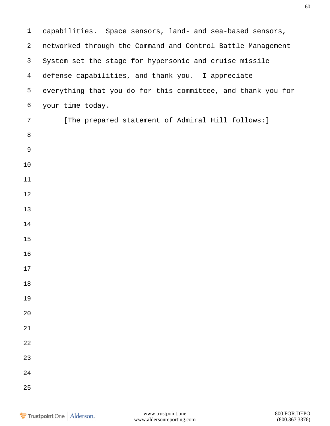capabilities. Space sensors, land- and sea-based sensors, networked through the Command and Control Battle Management System set the stage for hypersonic and cruise missile defense capabilities, and thank you. I appreciate everything that you do for this committee, and thank you for your time today. 7 [The prepared statement of Admiral Hill follows: ]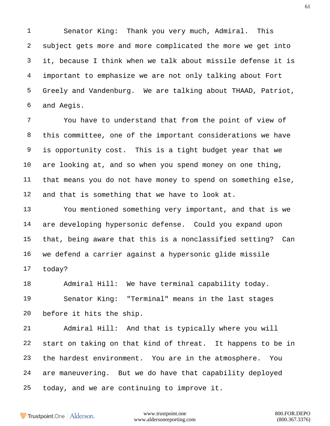Senator King: Thank you very much, Admiral. This subject gets more and more complicated the more we get into it, because I think when we talk about missile defense it is important to emphasize we are not only talking about Fort Greely and Vandenburg. We are talking about THAAD, Patriot, and Aegis.

 You have to understand that from the point of view of this committee, one of the important considerations we have is opportunity cost. This is a tight budget year that we are looking at, and so when you spend money on one thing, that means you do not have money to spend on something else, and that is something that we have to look at.

 You mentioned something very important, and that is we are developing hypersonic defense. Could you expand upon that, being aware that this is a nonclassified setting? Can we defend a carrier against a hypersonic glide missile today?

 Admiral Hill: We have terminal capability today. Senator King: "Terminal" means in the last stages before it hits the ship.

 Admiral Hill: And that is typically where you will start on taking on that kind of threat. It happens to be in the hardest environment. You are in the atmosphere. You are maneuvering. But we do have that capability deployed today, and we are continuing to improve it.

Trustpoint.One Alderson.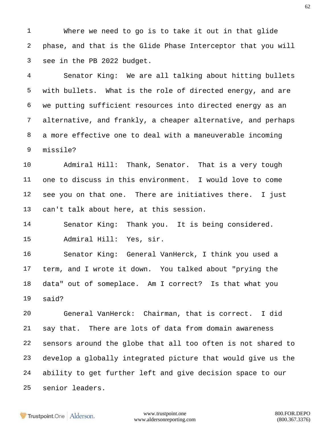Where we need to go is to take it out in that glide phase, and that is the Glide Phase Interceptor that you will see in the PB 2022 budget.

 Senator King: We are all talking about hitting bullets with bullets. What is the role of directed energy, and are we putting sufficient resources into directed energy as an alternative, and frankly, a cheaper alternative, and perhaps a more effective one to deal with a maneuverable incoming missile?

 Admiral Hill: Thank, Senator. That is a very tough one to discuss in this environment. I would love to come see you on that one. There are initiatives there. I just can't talk about here, at this session.

 Senator King: Thank you. It is being considered. Admiral Hill: Yes, sir.

 Senator King: General VanHerck, I think you used a term, and I wrote it down. You talked about "prying the data" out of someplace. Am I correct? Is that what you said?

 General VanHerck: Chairman, that is correct. I did say that. There are lots of data from domain awareness sensors around the globe that all too often is not shared to develop a globally integrated picture that would give us the ability to get further left and give decision space to our senior leaders.

**Trustpoint**.One Alderson.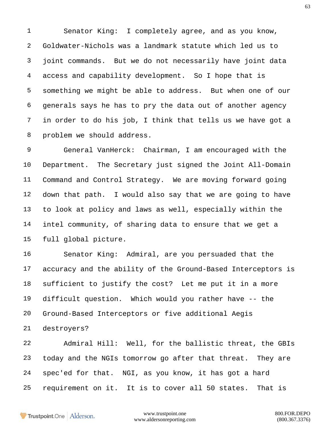Senator King: I completely agree, and as you know, Goldwater-Nichols was a landmark statute which led us to joint commands. But we do not necessarily have joint data access and capability development. So I hope that is something we might be able to address. But when one of our generals says he has to pry the data out of another agency in order to do his job, I think that tells us we have got a problem we should address.

 General VanHerck: Chairman, I am encouraged with the Department. The Secretary just signed the Joint All-Domain Command and Control Strategy. We are moving forward going down that path. I would also say that we are going to have to look at policy and laws as well, especially within the intel community, of sharing data to ensure that we get a full global picture.

 Senator King: Admiral, are you persuaded that the accuracy and the ability of the Ground-Based Interceptors is sufficient to justify the cost? Let me put it in a more difficult question. Which would you rather have -- the Ground-Based Interceptors or five additional Aegis destroyers?

 Admiral Hill: Well, for the ballistic threat, the GBIs today and the NGIs tomorrow go after that threat. They are spec'ed for that. NGI, as you know, it has got a hard requirement on it. It is to cover all 50 states. That is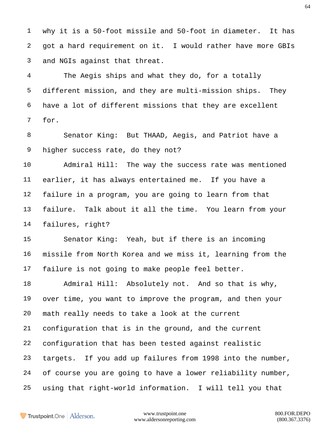why it is a 50-foot missile and 50-foot in diameter. It has got a hard requirement on it. I would rather have more GBIs and NGIs against that threat.

 The Aegis ships and what they do, for a totally different mission, and they are multi-mission ships. They have a lot of different missions that they are excellent for.

 Senator King: But THAAD, Aegis, and Patriot have a higher success rate, do they not?

 Admiral Hill: The way the success rate was mentioned earlier, it has always entertained me. If you have a failure in a program, you are going to learn from that failure. Talk about it all the time. You learn from your failures, right?

 Senator King: Yeah, but if there is an incoming missile from North Korea and we miss it, learning from the failure is not going to make people feel better.

 Admiral Hill: Absolutely not. And so that is why, over time, you want to improve the program, and then your math really needs to take a look at the current configuration that is in the ground, and the current configuration that has been tested against realistic targets. If you add up failures from 1998 into the number, of course you are going to have a lower reliability number, using that right-world information. I will tell you that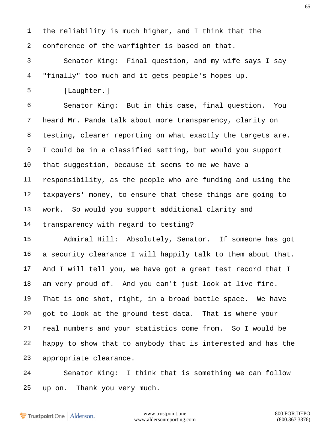the reliability is much higher, and I think that the conference of the warfighter is based on that. Senator King: Final question, and my wife says I say "finally" too much and it gets people's hopes up. [Laughter.] Senator King: But in this case, final question. You heard Mr. Panda talk about more transparency, clarity on testing, clearer reporting on what exactly the targets are. I could be in a classified setting, but would you support that suggestion, because it seems to me we have a responsibility, as the people who are funding and using the taxpayers' money, to ensure that these things are going to work. So would you support additional clarity and transparency with regard to testing? Admiral Hill: Absolutely, Senator. If someone has got a security clearance I will happily talk to them about that. And I will tell you, we have got a great test record that I am very proud of. And you can't just look at live fire. That is one shot, right, in a broad battle space. We have got to look at the ground test data. That is where your real numbers and your statistics come from. So I would be happy to show that to anybody that is interested and has the appropriate clearance. Senator King: I think that is something we can follow up on. Thank you very much.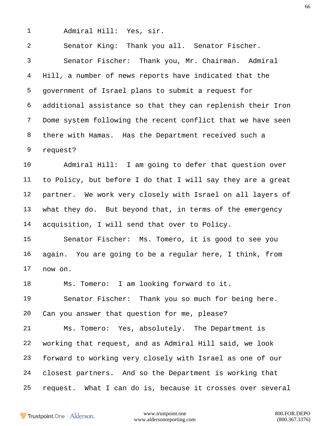Admiral Hill: Yes, sir.

 Senator King: Thank you all. Senator Fischer. Senator Fischer: Thank you, Mr. Chairman. Admiral Hill, a number of news reports have indicated that the government of Israel plans to submit a request for additional assistance so that they can replenish their Iron Dome system following the recent conflict that we have seen there with Hamas. Has the Department received such a request?

 Admiral Hill: I am going to defer that question over to Policy, but before I do that I will say they are a great partner. We work very closely with Israel on all layers of what they do. But beyond that, in terms of the emergency acquisition, I will send that over to Policy.

 Senator Fischer: Ms. Tomero, it is good to see you again. You are going to be a regular here, I think, from now on.

Ms. Tomero: I am looking forward to it.

 Senator Fischer: Thank you so much for being here. Can you answer that question for me, please?

 Ms. Tomero: Yes, absolutely. The Department is working that request, and as Admiral Hill said, we look forward to working very closely with Israel as one of our closest partners. And so the Department is working that request. What I can do is, because it crosses over several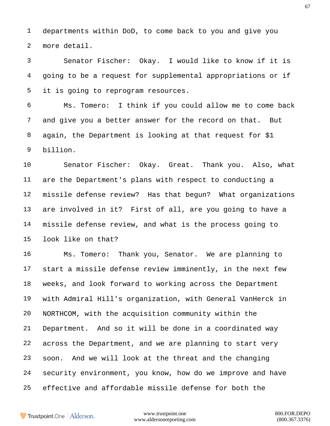departments within DoD, to come back to you and give you more detail.

 Senator Fischer: Okay. I would like to know if it is going to be a request for supplemental appropriations or if it is going to reprogram resources.

 Ms. Tomero: I think if you could allow me to come back and give you a better answer for the record on that. But again, the Department is looking at that request for \$1 billion.

 Senator Fischer: Okay. Great. Thank you. Also, what are the Department's plans with respect to conducting a missile defense review? Has that begun? What organizations are involved in it? First of all, are you going to have a missile defense review, and what is the process going to look like on that?

 Ms. Tomero: Thank you, Senator. We are planning to start a missile defense review imminently, in the next few weeks, and look forward to working across the Department with Admiral Hill's organization, with General VanHerck in NORTHCOM, with the acquisition community within the Department. And so it will be done in a coordinated way across the Department, and we are planning to start very soon. And we will look at the threat and the changing security environment, you know, how do we improve and have effective and affordable missile defense for both the

Trustpoint.One Alderson.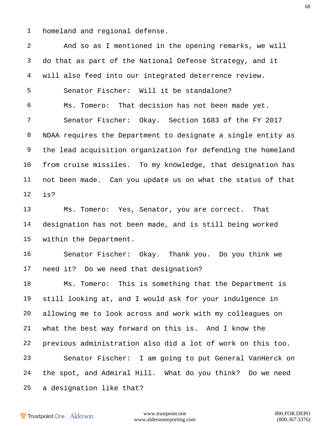homeland and regional defense.

 And so as I mentioned in the opening remarks, we will do that as part of the National Defense Strategy, and it will also feed into our integrated deterrence review. Senator Fischer: Will it be standalone? Ms. Tomero: That decision has not been made yet. Senator Fischer: Okay. Section 1683 of the FY 2017 NDAA requires the Department to designate a single entity as the lead acquisition organization for defending the homeland from cruise missiles. To my knowledge, that designation has not been made. Can you update us on what the status of that is?

 Ms. Tomero: Yes, Senator, you are correct. That designation has not been made, and is still being worked within the Department.

 Senator Fischer: Okay. Thank you. Do you think we need it? Do we need that designation?

 Ms. Tomero: This is something that the Department is still looking at, and I would ask for your indulgence in allowing me to look across and work with my colleagues on what the best way forward on this is. And I know the previous administration also did a lot of work on this too. Senator Fischer: I am going to put General VanHerck on the spot, and Admiral Hill. What do you think? Do we need a designation like that?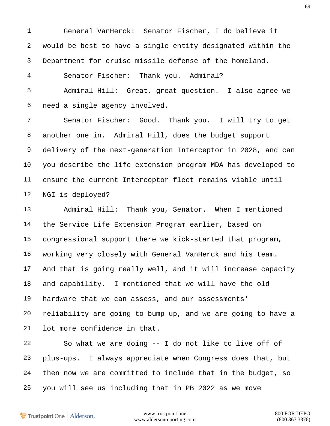General VanHerck: Senator Fischer, I do believe it would be best to have a single entity designated within the Department for cruise missile defense of the homeland. Senator Fischer: Thank you. Admiral? Admiral Hill: Great, great question. I also agree we need a single agency involved. Senator Fischer: Good. Thank you. I will try to get another one in. Admiral Hill, does the budget support delivery of the next-generation Interceptor in 2028, and can you describe the life extension program MDA has developed to ensure the current Interceptor fleet remains viable until NGI is deployed?

 Admiral Hill: Thank you, Senator. When I mentioned the Service Life Extension Program earlier, based on congressional support there we kick-started that program, working very closely with General VanHerck and his team. And that is going really well, and it will increase capacity and capability. I mentioned that we will have the old hardware that we can assess, and our assessments' reliability are going to bump up, and we are going to have a lot more confidence in that.

 So what we are doing -- I do not like to live off of plus-ups. I always appreciate when Congress does that, but then now we are committed to include that in the budget, so you will see us including that in PB 2022 as we move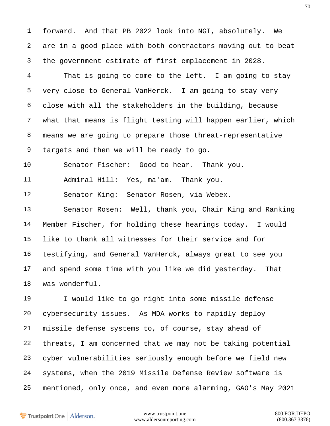forward. And that PB 2022 look into NGI, absolutely. We are in a good place with both contractors moving out to beat the government estimate of first emplacement in 2028.

 That is going to come to the left. I am going to stay very close to General VanHerck. I am going to stay very close with all the stakeholders in the building, because what that means is flight testing will happen earlier, which means we are going to prepare those threat-representative targets and then we will be ready to go.

Senator Fischer: Good to hear. Thank you.

Admiral Hill: Yes, ma'am. Thank you.

Senator King: Senator Rosen, via Webex.

 Senator Rosen: Well, thank you, Chair King and Ranking Member Fischer, for holding these hearings today. I would like to thank all witnesses for their service and for testifying, and General VanHerck, always great to see you and spend some time with you like we did yesterday. That was wonderful.

 I would like to go right into some missile defense cybersecurity issues. As MDA works to rapidly deploy missile defense systems to, of course, stay ahead of threats, I am concerned that we may not be taking potential cyber vulnerabilities seriously enough before we field new systems, when the 2019 Missile Defense Review software is mentioned, only once, and even more alarming, GAO's May 2021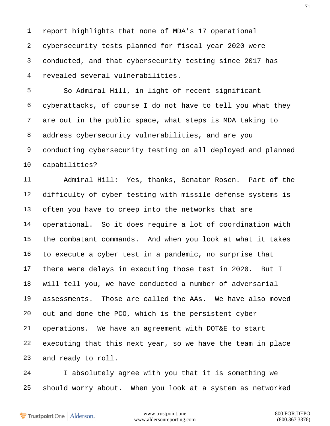report highlights that none of MDA's 17 operational cybersecurity tests planned for fiscal year 2020 were conducted, and that cybersecurity testing since 2017 has revealed several vulnerabilities.

 So Admiral Hill, in light of recent significant cyberattacks, of course I do not have to tell you what they are out in the public space, what steps is MDA taking to address cybersecurity vulnerabilities, and are you conducting cybersecurity testing on all deployed and planned capabilities?

 Admiral Hill: Yes, thanks, Senator Rosen. Part of the difficulty of cyber testing with missile defense systems is often you have to creep into the networks that are operational. So it does require a lot of coordination with the combatant commands. And when you look at what it takes to execute a cyber test in a pandemic, no surprise that there were delays in executing those test in 2020. But I will tell you, we have conducted a number of adversarial assessments. Those are called the AAs. We have also moved out and done the PCO, which is the persistent cyber operations. We have an agreement with DOT&E to start executing that this next year, so we have the team in place and ready to roll.

 I absolutely agree with you that it is something we should worry about. When you look at a system as networked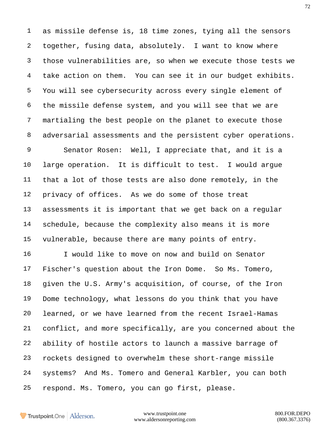as missile defense is, 18 time zones, tying all the sensors together, fusing data, absolutely. I want to know where those vulnerabilities are, so when we execute those tests we take action on them. You can see it in our budget exhibits. You will see cybersecurity across every single element of the missile defense system, and you will see that we are martialing the best people on the planet to execute those adversarial assessments and the persistent cyber operations.

 Senator Rosen: Well, I appreciate that, and it is a large operation. It is difficult to test. I would argue that a lot of those tests are also done remotely, in the privacy of offices. As we do some of those treat assessments it is important that we get back on a regular schedule, because the complexity also means it is more vulnerable, because there are many points of entry.

 I would like to move on now and build on Senator Fischer's question about the Iron Dome. So Ms. Tomero, given the U.S. Army's acquisition, of course, of the Iron Dome technology, what lessons do you think that you have learned, or we have learned from the recent Israel-Hamas conflict, and more specifically, are you concerned about the ability of hostile actors to launch a massive barrage of rockets designed to overwhelm these short-range missile systems? And Ms. Tomero and General Karbler, you can both respond. Ms. Tomero, you can go first, please.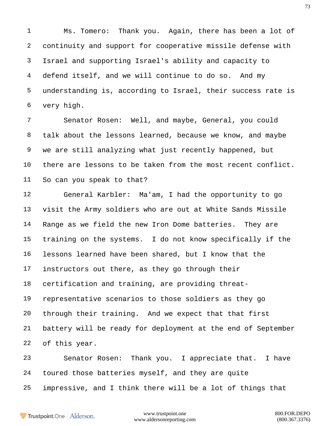Ms. Tomero: Thank you. Again, there has been a lot of continuity and support for cooperative missile defense with Israel and supporting Israel's ability and capacity to defend itself, and we will continue to do so. And my understanding is, according to Israel, their success rate is very high.

 Senator Rosen: Well, and maybe, General, you could talk about the lessons learned, because we know, and maybe we are still analyzing what just recently happened, but there are lessons to be taken from the most recent conflict. So can you speak to that?

 General Karbler: Ma'am, I had the opportunity to go visit the Army soldiers who are out at White Sands Missile Range as we field the new Iron Dome batteries. They are training on the systems. I do not know specifically if the lessons learned have been shared, but I know that the instructors out there, as they go through their certification and training, are providing threat- representative scenarios to those soldiers as they go through their training. And we expect that that first battery will be ready for deployment at the end of September of this year.

 Senator Rosen: Thank you. I appreciate that. I have toured those batteries myself, and they are quite impressive, and I think there will be a lot of things that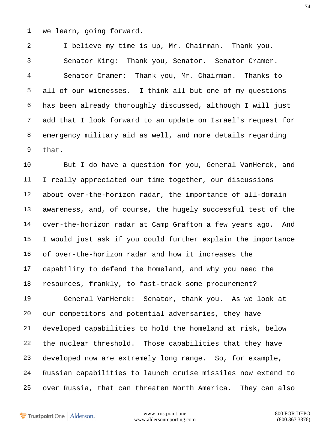we learn, going forward.

 I believe my time is up, Mr. Chairman. Thank you. Senator King: Thank you, Senator. Senator Cramer. Senator Cramer: Thank you, Mr. Chairman. Thanks to all of our witnesses. I think all but one of my questions has been already thoroughly discussed, although I will just add that I look forward to an update on Israel's request for emergency military aid as well, and more details regarding that.

 But I do have a question for you, General VanHerck, and I really appreciated our time together, our discussions about over-the-horizon radar, the importance of all-domain awareness, and, of course, the hugely successful test of the over-the-horizon radar at Camp Grafton a few years ago. And I would just ask if you could further explain the importance of over-the-horizon radar and how it increases the capability to defend the homeland, and why you need the resources, frankly, to fast-track some procurement?

 General VanHerck: Senator, thank you. As we look at our competitors and potential adversaries, they have developed capabilities to hold the homeland at risk, below the nuclear threshold. Those capabilities that they have developed now are extremely long range. So, for example, Russian capabilities to launch cruise missiles now extend to over Russia, that can threaten North America. They can also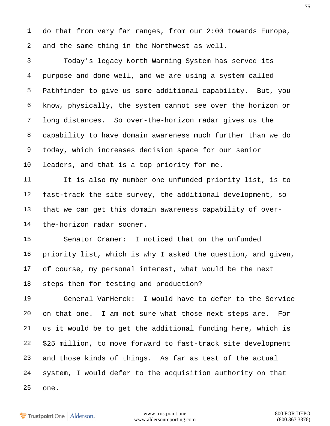do that from very far ranges, from our 2:00 towards Europe, and the same thing in the Northwest as well.

 Today's legacy North Warning System has served its purpose and done well, and we are using a system called Pathfinder to give us some additional capability. But, you know, physically, the system cannot see over the horizon or long distances. So over-the-horizon radar gives us the capability to have domain awareness much further than we do today, which increases decision space for our senior leaders, and that is a top priority for me.

 It is also my number one unfunded priority list, is to fast-track the site survey, the additional development, so that we can get this domain awareness capability of over-the-horizon radar sooner.

 Senator Cramer: I noticed that on the unfunded priority list, which is why I asked the question, and given, of course, my personal interest, what would be the next steps then for testing and production?

 General VanHerck: I would have to defer to the Service on that one. I am not sure what those next steps are. For us it would be to get the additional funding here, which is \$25 million, to move forward to fast-track site development and those kinds of things. As far as test of the actual system, I would defer to the acquisition authority on that one.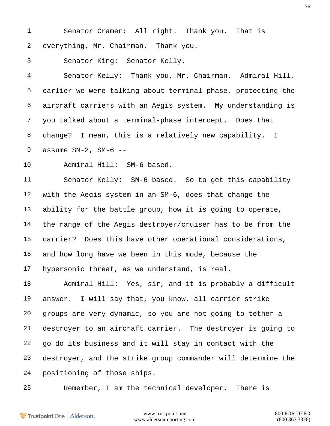Senator Cramer: All right. Thank you. That is everything, Mr. Chairman. Thank you.

Senator King: Senator Kelly.

 Senator Kelly: Thank you, Mr. Chairman. Admiral Hill, earlier we were talking about terminal phase, protecting the aircraft carriers with an Aegis system. My understanding is you talked about a terminal-phase intercept. Does that change? I mean, this is a relatively new capability. I assume SM-2, SM-6 --

Admiral Hill: SM-6 based.

 Senator Kelly: SM-6 based. So to get this capability with the Aegis system in an SM-6, does that change the ability for the battle group, how it is going to operate, the range of the Aegis destroyer/cruiser has to be from the carrier? Does this have other operational considerations, and how long have we been in this mode, because the hypersonic threat, as we understand, is real.

 Admiral Hill: Yes, sir, and it is probably a difficult answer. I will say that, you know, all carrier strike groups are very dynamic, so you are not going to tether a destroyer to an aircraft carrier. The destroyer is going to go do its business and it will stay in contact with the destroyer, and the strike group commander will determine the positioning of those ships.

Remember, I am the technical developer. There is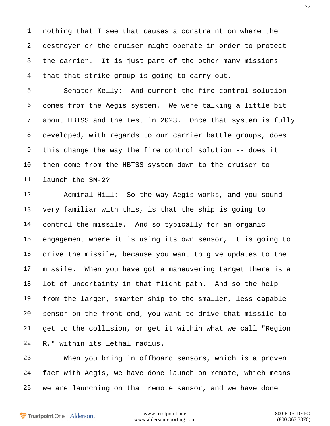nothing that I see that causes a constraint on where the destroyer or the cruiser might operate in order to protect the carrier. It is just part of the other many missions that that strike group is going to carry out.

 Senator Kelly: And current the fire control solution comes from the Aegis system. We were talking a little bit about HBTSS and the test in 2023. Once that system is fully developed, with regards to our carrier battle groups, does this change the way the fire control solution -- does it then come from the HBTSS system down to the cruiser to launch the SM-2?

 Admiral Hill: So the way Aegis works, and you sound very familiar with this, is that the ship is going to control the missile. And so typically for an organic engagement where it is using its own sensor, it is going to drive the missile, because you want to give updates to the missile. When you have got a maneuvering target there is a lot of uncertainty in that flight path. And so the help from the larger, smarter ship to the smaller, less capable sensor on the front end, you want to drive that missile to get to the collision, or get it within what we call "Region R," within its lethal radius.

 When you bring in offboard sensors, which is a proven fact with Aegis, we have done launch on remote, which means we are launching on that remote sensor, and we have done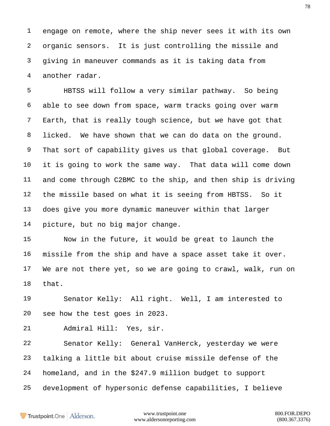engage on remote, where the ship never sees it with its own organic sensors. It is just controlling the missile and giving in maneuver commands as it is taking data from another radar.

 HBTSS will follow a very similar pathway. So being able to see down from space, warm tracks going over warm Earth, that is really tough science, but we have got that licked. We have shown that we can do data on the ground. That sort of capability gives us that global coverage. But it is going to work the same way. That data will come down and come through C2BMC to the ship, and then ship is driving the missile based on what it is seeing from HBTSS. So it does give you more dynamic maneuver within that larger picture, but no big major change.

 Now in the future, it would be great to launch the missile from the ship and have a space asset take it over. We are not there yet, so we are going to crawl, walk, run on that.

 Senator Kelly: All right. Well, I am interested to see how the test goes in 2023.

Admiral Hill: Yes, sir.

 Senator Kelly: General VanHerck, yesterday we were talking a little bit about cruise missile defense of the homeland, and in the \$247.9 million budget to support development of hypersonic defense capabilities, I believe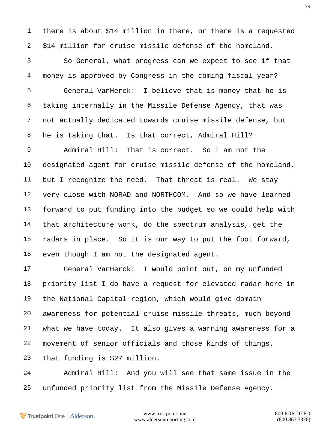there is about \$14 million in there, or there is a requested \$14 million for cruise missile defense of the homeland.

 So General, what progress can we expect to see if that money is approved by Congress in the coming fiscal year? General VanHerck: I believe that is money that he is taking internally in the Missile Defense Agency, that was not actually dedicated towards cruise missile defense, but he is taking that. Is that correct, Admiral Hill?

 Admiral Hill: That is correct. So I am not the designated agent for cruise missile defense of the homeland, but I recognize the need. That threat is real. We stay very close with NORAD and NORTHCOM. And so we have learned forward to put funding into the budget so we could help with that architecture work, do the spectrum analysis, get the radars in place. So it is our way to put the foot forward, even though I am not the designated agent.

 General VanHerck: I would point out, on my unfunded priority list I do have a request for elevated radar here in the National Capital region, which would give domain awareness for potential cruise missile threats, much beyond what we have today. It also gives a warning awareness for a movement of senior officials and those kinds of things.

That funding is \$27 million.

 Admiral Hill: And you will see that same issue in the unfunded priority list from the Missile Defense Agency.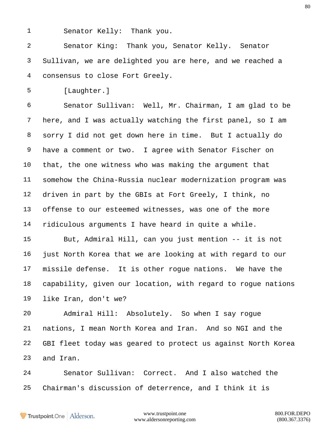Senator Kelly: Thank you.

 Senator King: Thank you, Senator Kelly. Senator Sullivan, we are delighted you are here, and we reached a consensus to close Fort Greely.

[Laughter.]

 Senator Sullivan: Well, Mr. Chairman, I am glad to be here, and I was actually watching the first panel, so I am sorry I did not get down here in time. But I actually do have a comment or two. I agree with Senator Fischer on that, the one witness who was making the argument that somehow the China-Russia nuclear modernization program was driven in part by the GBIs at Fort Greely, I think, no offense to our esteemed witnesses, was one of the more ridiculous arguments I have heard in quite a while.

 But, Admiral Hill, can you just mention -- it is not just North Korea that we are looking at with regard to our missile defense. It is other rogue nations. We have the capability, given our location, with regard to rogue nations like Iran, don't we?

 Admiral Hill: Absolutely. So when I say rogue nations, I mean North Korea and Iran. And so NGI and the GBI fleet today was geared to protect us against North Korea and Iran.

 Senator Sullivan: Correct. And I also watched the Chairman's discussion of deterrence, and I think it is

Trustpoint.One Alderson.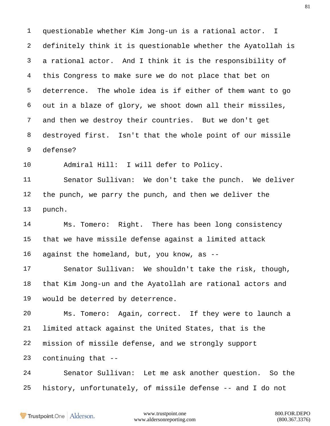questionable whether Kim Jong-un is a rational actor. I definitely think it is questionable whether the Ayatollah is a rational actor. And I think it is the responsibility of this Congress to make sure we do not place that bet on deterrence. The whole idea is if either of them want to go out in a blaze of glory, we shoot down all their missiles, and then we destroy their countries. But we don't get destroyed first. Isn't that the whole point of our missile defense?

Admiral Hill: I will defer to Policy.

 Senator Sullivan: We don't take the punch. We deliver the punch, we parry the punch, and then we deliver the punch.

 Ms. Tomero: Right. There has been long consistency that we have missile defense against a limited attack against the homeland, but, you know, as --

 Senator Sullivan: We shouldn't take the risk, though, that Kim Jong-un and the Ayatollah are rational actors and would be deterred by deterrence.

 Ms. Tomero: Again, correct. If they were to launch a limited attack against the United States, that is the mission of missile defense, and we strongly support

continuing that --

 Senator Sullivan: Let me ask another question. So the history, unfortunately, of missile defense -- and I do not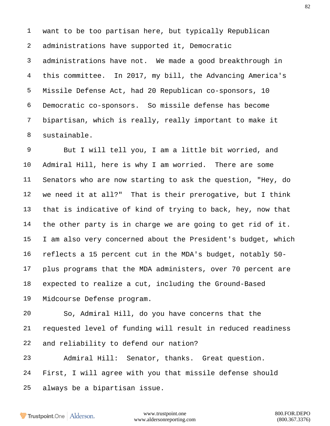want to be too partisan here, but typically Republican administrations have supported it, Democratic administrations have not. We made a good breakthrough in this committee. In 2017, my bill, the Advancing America's Missile Defense Act, had 20 Republican co-sponsors, 10 Democratic co-sponsors. So missile defense has become bipartisan, which is really, really important to make it sustainable.

 But I will tell you, I am a little bit worried, and Admiral Hill, here is why I am worried. There are some Senators who are now starting to ask the question, "Hey, do we need it at all?" That is their prerogative, but I think that is indicative of kind of trying to back, hey, now that the other party is in charge we are going to get rid of it. I am also very concerned about the President's budget, which reflects a 15 percent cut in the MDA's budget, notably 50- plus programs that the MDA administers, over 70 percent are expected to realize a cut, including the Ground-Based Midcourse Defense program.

 So, Admiral Hill, do you have concerns that the requested level of funding will result in reduced readiness and reliability to defend our nation?

 Admiral Hill: Senator, thanks. Great question. First, I will agree with you that missile defense should always be a bipartisan issue.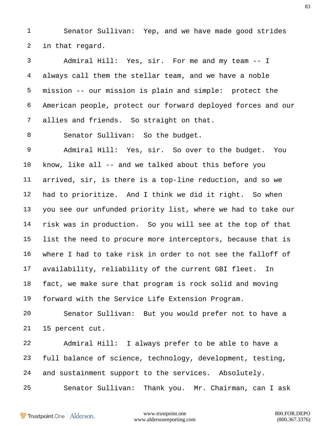Senator Sullivan: Yep, and we have made good strides in that regard.

 Admiral Hill: Yes, sir. For me and my team -- I always call them the stellar team, and we have a noble mission -- our mission is plain and simple: protect the American people, protect our forward deployed forces and our allies and friends. So straight on that.

8 Senator Sullivan: So the budget.

 Admiral Hill: Yes, sir. So over to the budget. You know, like all -- and we talked about this before you arrived, sir, is there is a top-line reduction, and so we had to prioritize. And I think we did it right. So when you see our unfunded priority list, where we had to take our risk was in production. So you will see at the top of that list the need to procure more interceptors, because that is where I had to take risk in order to not see the falloff of availability, reliability of the current GBI fleet. In fact, we make sure that program is rock solid and moving forward with the Service Life Extension Program.

 Senator Sullivan: But you would prefer not to have a 15 percent cut.

 Admiral Hill: I always prefer to be able to have a full balance of science, technology, development, testing, and sustainment support to the services. Absolutely.

Senator Sullivan: Thank you. Mr. Chairman, can I ask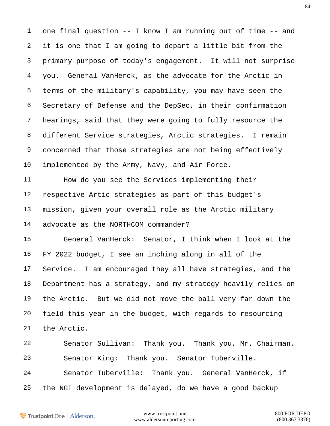one final question -- I know I am running out of time -- and it is one that I am going to depart a little bit from the primary purpose of today's engagement. It will not surprise you. General VanHerck, as the advocate for the Arctic in terms of the military's capability, you may have seen the Secretary of Defense and the DepSec, in their confirmation hearings, said that they were going to fully resource the different Service strategies, Arctic strategies. I remain concerned that those strategies are not being effectively implemented by the Army, Navy, and Air Force.

 How do you see the Services implementing their respective Artic strategies as part of this budget's mission, given your overall role as the Arctic military advocate as the NORTHCOM commander?

 General VanHerck: Senator, I think when I look at the FY 2022 budget, I see an inching along in all of the Service. I am encouraged they all have strategies, and the Department has a strategy, and my strategy heavily relies on the Arctic. But we did not move the ball very far down the field this year in the budget, with regards to resourcing the Arctic.

 Senator Sullivan: Thank you. Thank you, Mr. Chairman. Senator King: Thank you. Senator Tuberville. Senator Tuberville: Thank you. General VanHerck, if the NGI development is delayed, do we have a good backup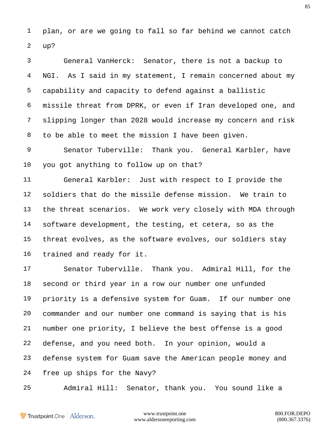plan, or are we going to fall so far behind we cannot catch up?

 General VanHerck: Senator, there is not a backup to NGI. As I said in my statement, I remain concerned about my capability and capacity to defend against a ballistic missile threat from DPRK, or even if Iran developed one, and slipping longer than 2028 would increase my concern and risk to be able to meet the mission I have been given.

 Senator Tuberville: Thank you. General Karbler, have you got anything to follow up on that?

 General Karbler: Just with respect to I provide the soldiers that do the missile defense mission. We train to the threat scenarios. We work very closely with MDA through software development, the testing, et cetera, so as the threat evolves, as the software evolves, our soldiers stay trained and ready for it.

 Senator Tuberville. Thank you. Admiral Hill, for the second or third year in a row our number one unfunded priority is a defensive system for Guam. If our number one commander and our number one command is saying that is his number one priority, I believe the best offense is a good defense, and you need both. In your opinion, would a defense system for Guam save the American people money and free up ships for the Navy?

Admiral Hill: Senator, thank you. You sound like a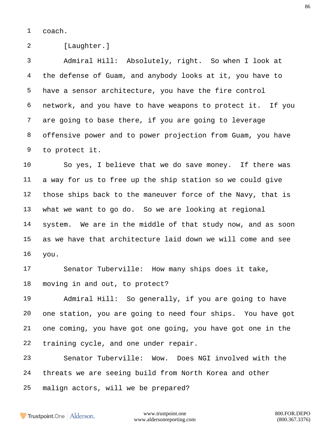coach.

[Laughter.]

 Admiral Hill: Absolutely, right. So when I look at the defense of Guam, and anybody looks at it, you have to have a sensor architecture, you have the fire control network, and you have to have weapons to protect it. If you are going to base there, if you are going to leverage offensive power and to power projection from Guam, you have to protect it.

 So yes, I believe that we do save money. If there was a way for us to free up the ship station so we could give those ships back to the maneuver force of the Navy, that is what we want to go do. So we are looking at regional system. We are in the middle of that study now, and as soon as we have that architecture laid down we will come and see you.

 Senator Tuberville: How many ships does it take, moving in and out, to protect?

 Admiral Hill: So generally, if you are going to have one station, you are going to need four ships. You have got one coming, you have got one going, you have got one in the training cycle, and one under repair.

 Senator Tuberville: Wow. Does NGI involved with the threats we are seeing build from North Korea and other malign actors, will we be prepared?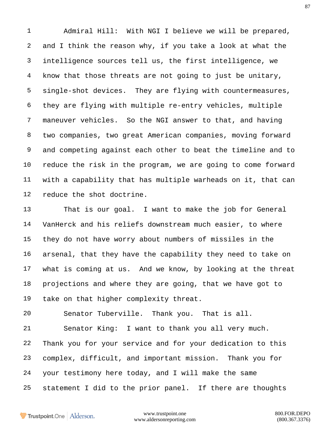Admiral Hill: With NGI I believe we will be prepared, and I think the reason why, if you take a look at what the intelligence sources tell us, the first intelligence, we know that those threats are not going to just be unitary, single-shot devices. They are flying with countermeasures, they are flying with multiple re-entry vehicles, multiple maneuver vehicles. So the NGI answer to that, and having two companies, two great American companies, moving forward and competing against each other to beat the timeline and to reduce the risk in the program, we are going to come forward with a capability that has multiple warheads on it, that can reduce the shot doctrine.

 That is our goal. I want to make the job for General VanHerck and his reliefs downstream much easier, to where they do not have worry about numbers of missiles in the arsenal, that they have the capability they need to take on what is coming at us. And we know, by looking at the threat projections and where they are going, that we have got to take on that higher complexity threat.

Senator Tuberville. Thank you. That is all.

 Senator King: I want to thank you all very much. Thank you for your service and for your dedication to this complex, difficult, and important mission. Thank you for your testimony here today, and I will make the same statement I did to the prior panel. If there are thoughts